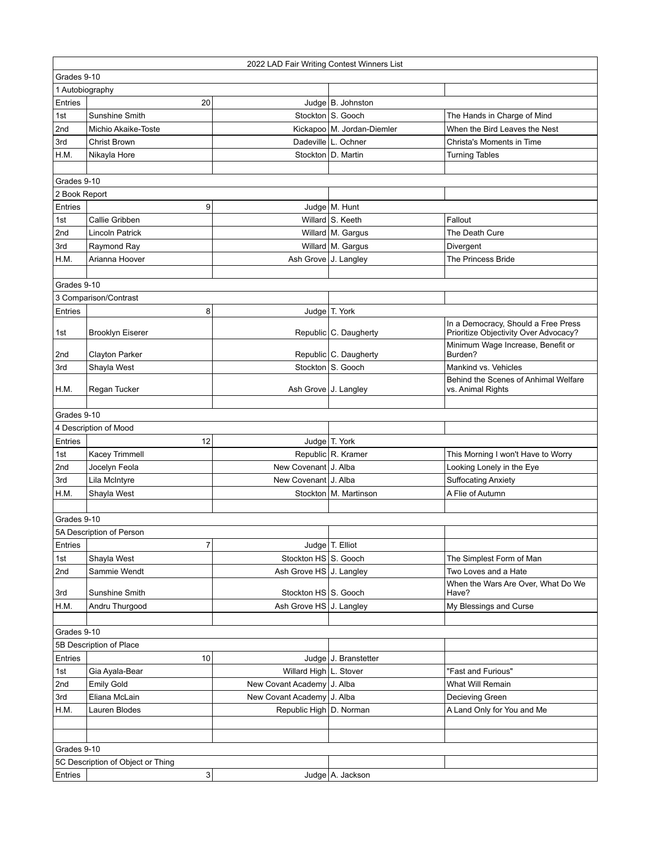|                 | 2022 LAD Fair Writing Contest Winners List |                            |                                            |                                              |  |
|-----------------|--------------------------------------------|----------------------------|--------------------------------------------|----------------------------------------------|--|
|                 | Grades 9-10                                |                            |                                            |                                              |  |
| 1 Autobiography |                                            |                            |                                            |                                              |  |
| Entries         | 20                                         |                            | Judge $ B.$ Johnston                       |                                              |  |
| 1st             | Sunshine Smith                             |                            | Stockton   S. Gooch                        | The Hands in Charge of Mind                  |  |
| 2nd             | Michio Akaike-Toste                        |                            | Kickapoo   M. Jordan-Diemler               | When the Bird Leaves the Nest                |  |
| 3rd             | Christ Brown                               |                            | Dadeville   L. Ochner                      | Christa's Moments in Time                    |  |
| H.M.            | Nikayla Hore                               |                            | Stockton   D. Martin                       | <b>Turning Tables</b>                        |  |
|                 |                                            |                            |                                            |                                              |  |
| Grades 9-10     |                                            |                            |                                            |                                              |  |
| 2 Book Report   |                                            |                            |                                            |                                              |  |
| Entries         | 9                                          |                            | Judge   M. Hunt                            |                                              |  |
| 1st             | Callie Gribben                             |                            | Willard S. Keeth                           | Fallout                                      |  |
| 2nd             | <b>Lincoln Patrick</b>                     |                            | Willard M. Gargus                          | The Death Cure                               |  |
| 3rd             | Raymond Ray                                |                            | Willard M. Gargus                          | Divergent                                    |  |
| H.M.            | Arianna Hoover                             | Ash Grove J. Langley       |                                            | <b>The Princess Bride</b>                    |  |
|                 |                                            |                            |                                            |                                              |  |
| Grades 9-10     |                                            |                            |                                            |                                              |  |
|                 | 3 Comparison/Contrast                      |                            |                                            |                                              |  |
| Entries         | 8                                          |                            | Judge   T. York                            |                                              |  |
|                 |                                            |                            |                                            | In a Democracy, Should a Free Press          |  |
| 1st             | <b>Brooklyn Eiserer</b>                    |                            | Republic   C. Daugherty                    | Prioritize Objectivity Over Advocacy?        |  |
|                 |                                            |                            |                                            | Minimum Wage Increase, Benefit or<br>Burden? |  |
| 2nd<br>3rd      | <b>Clayton Parker</b><br>Shayla West       |                            | Republic C. Daugherty<br>Stockton S. Gooch | Mankind vs. Vehicles                         |  |
|                 |                                            |                            |                                            | Behind the Scenes of Anhimal Welfare         |  |
| H.M.            | Regan Tucker                               | Ash Grove J. Langley       |                                            | vs. Animal Rights                            |  |
|                 |                                            |                            |                                            |                                              |  |
| Grades 9-10     |                                            |                            |                                            |                                              |  |
|                 | 4 Description of Mood                      |                            |                                            |                                              |  |
| Entries         | 12                                         |                            | Judge   T. York                            |                                              |  |
| 1st             | Kacey Trimmell                             |                            | Republic R. Kramer                         | This Morning I won't Have to Worry           |  |
| 2nd             | Jocelyn Feola                              | New Covenant   J. Alba     |                                            | Looking Lonely in the Eye                    |  |
| 3rd             | Lila McIntyre                              | New Covenant   J. Alba     |                                            | <b>Suffocating Anxiety</b>                   |  |
| H.M.            | Shayla West                                |                            | Stockton   M. Martinson                    | A Flie of Autumn                             |  |
|                 |                                            |                            |                                            |                                              |  |
| Grades 9-10     |                                            |                            |                                            |                                              |  |
|                 | 5A Description of Person                   |                            |                                            |                                              |  |
| Entries         | $\overline{7}$                             |                            | Judge T. Elliot                            |                                              |  |
| 1st             | Shayla West                                | Stockton HS S. Gooch       |                                            | The Simplest Form of Man                     |  |
| 2nd             | Sammie Wendt                               | Ash Grove HS J. Langley    |                                            | Two Loves and a Hate                         |  |
|                 |                                            |                            |                                            | When the Wars Are Over, What Do We           |  |
| 3rd             | Sunshine Smith                             | Stockton HS S. Gooch       |                                            | Have?                                        |  |
| H.M.            | Andru Thurgood                             | Ash Grove HS J. Langley    |                                            | My Blessings and Curse                       |  |
|                 |                                            |                            |                                            |                                              |  |
| Grades 9-10     |                                            |                            |                                            |                                              |  |
|                 | 5B Description of Place                    |                            |                                            |                                              |  |
| Entries         | 10                                         |                            | Judge J. Branstetter                       |                                              |  |
| 1st             | Gia Ayala-Bear                             | Willard High   L. Stover   |                                            | "Fast and Furious"                           |  |
| 2nd             | <b>Emily Gold</b>                          | New Covant Academy J. Alba |                                            | What Will Remain                             |  |
| 3rd             | Eliana McLain                              | New Covant Academy J. Alba |                                            | Decieving Green                              |  |
| H.M.            | Lauren Blodes                              | Republic High   D. Norman  |                                            | A Land Only for You and Me                   |  |
|                 |                                            |                            |                                            |                                              |  |
|                 |                                            |                            |                                            |                                              |  |
| Grades 9-10     |                                            |                            |                                            |                                              |  |
|                 | 5C Description of Object or Thing          |                            |                                            |                                              |  |
| Entries         | 3                                          |                            | Judge   A. Jackson                         |                                              |  |
|                 |                                            |                            |                                            |                                              |  |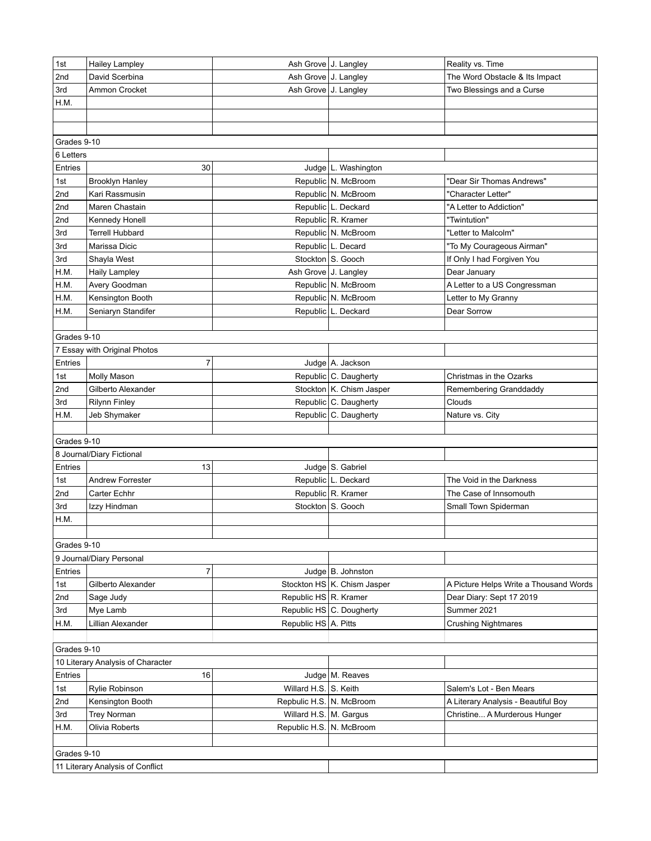| 1st                              | Hailey Lampley                    | Ash Grove J. Langley     |                               | Reality vs. Time                       |
|----------------------------------|-----------------------------------|--------------------------|-------------------------------|----------------------------------------|
| 2nd                              | David Scerbina                    | Ash Grove J. Langley     |                               | The Word Obstacle & Its Impact         |
| 3rd                              | Ammon Crocket                     | Ash Grove J. Langley     |                               | Two Blessings and a Curse              |
| H.M.                             |                                   |                          |                               |                                        |
|                                  |                                   |                          |                               |                                        |
|                                  |                                   |                          |                               |                                        |
| Grades 9-10                      |                                   |                          |                               |                                        |
| 6 Letters                        |                                   |                          |                               |                                        |
| Entries                          | 30                                |                          | Judge   L. Washington         |                                        |
| 1st                              | <b>Brooklyn Hanley</b>            |                          | Republic N. McBroom           | "Dear Sir Thomas Andrews"              |
| 2nd                              | Kari Rassmusin                    |                          | Republic N. McBroom           | "Character Letter"                     |
| 2nd                              | Maren Chastain                    |                          | Republic L. Deckard           | "A Letter to Addiction"                |
| 2nd                              | Kennedy Honell                    |                          | Republic R. Kramer            | "Twintution"                           |
| 3rd                              | <b>Terrell Hubbard</b>            |                          | Republic   N. McBroom         | "Letter to Malcolm"                    |
| 3rd                              | Marissa Dicic                     |                          | Republic L. Decard            | "To My Courageous Airman"              |
| 3rd                              | Shayla West                       |                          | Stockton S. Gooch             | If Only I had Forgiven You             |
| H.M.                             | <b>Haily Lampley</b>              | Ash Grove J. Langley     |                               | Dear January                           |
| H.M.                             | Avery Goodman                     |                          | Republic N. McBroom           | A Letter to a US Congressman           |
| H.M.                             | Kensington Booth                  |                          | Republic N. McBroom           | Letter to My Granny                    |
| H.M.                             | Seniaryn Standifer                |                          | Republic L. Deckard           | Dear Sorrow                            |
|                                  |                                   |                          |                               |                                        |
| Grades 9-10                      |                                   |                          |                               |                                        |
|                                  | 7 Essay with Original Photos      |                          |                               |                                        |
| Entries                          | 7                                 |                          | Judge   A. Jackson            |                                        |
| 1st                              | Molly Mason                       |                          | Republic C. Daugherty         | Christmas in the Ozarks                |
| 2nd                              | Gilberto Alexander                |                          | Stockton   K. Chism Jasper    | Remembering Granddaddy                 |
| 3rd                              | <b>Rilynn Finley</b>              |                          | Republic C. Daugherty         | Clouds                                 |
| H.M.                             | Jeb Shymaker                      |                          | Republic C. Daugherty         | Nature vs. City                        |
|                                  |                                   |                          |                               |                                        |
| Grades 9-10                      |                                   |                          |                               |                                        |
|                                  | 8 Journal/Diary Fictional         |                          |                               |                                        |
| Entries                          | 13                                |                          | Judge S. Gabriel              |                                        |
| 1st                              | <b>Andrew Forrester</b>           |                          | Republic L. Deckard           | The Void in the Darkness               |
| 2nd                              | Carter Echhr                      |                          | Republic R. Kramer            | The Case of Innsomouth                 |
| 3rd                              | Izzy Hindman                      |                          | Stockton S. Gooch             | Small Town Spiderman                   |
| H.M.                             |                                   |                          |                               |                                        |
|                                  |                                   |                          |                               |                                        |
| Grades 9-10                      |                                   |                          |                               |                                        |
|                                  | 9 Journal/Diary Personal          |                          |                               |                                        |
| Entries                          | $\overline{7}$                    |                          | Judge $ B.$ Johnston          |                                        |
| 1st                              | Gilberto Alexander                |                          | Stockton HS   K. Chism Jasper | A Picture Helps Write a Thousand Words |
| 2nd                              | Sage Judy                         | Republic HS R. Kramer    |                               | Dear Diary: Sept 17 2019               |
| 3rd                              | Mye Lamb                          |                          | Republic HS C. Dougherty      | Summer 2021                            |
| H.M.                             | Lillian Alexander                 | Republic HS A. Pitts     |                               | <b>Crushing Nightmares</b>             |
|                                  |                                   |                          |                               |                                        |
| Grades 9-10                      |                                   |                          |                               |                                        |
|                                  | 10 Literary Analysis of Character |                          |                               |                                        |
| Entries                          | 16                                |                          | Judge   M. Reaves             |                                        |
| 1st                              | Rylie Robinson                    | Willard H.S. S. Keith    |                               | Salem's Lot - Ben Mears                |
| 2nd                              | Kensington Booth                  | Repbulic H.S. N. McBroom |                               | A Literary Analysis - Beautiful Boy    |
| 3rd                              | <b>Trey Norman</b>                | Willard H.S.   M. Gargus |                               | Christine A Murderous Hunger           |
| H.M.                             | Olivia Roberts                    | Republic H.S. N. McBroom |                               |                                        |
|                                  |                                   |                          |                               |                                        |
| Grades 9-10                      |                                   |                          |                               |                                        |
| 11 Literary Analysis of Conflict |                                   |                          |                               |                                        |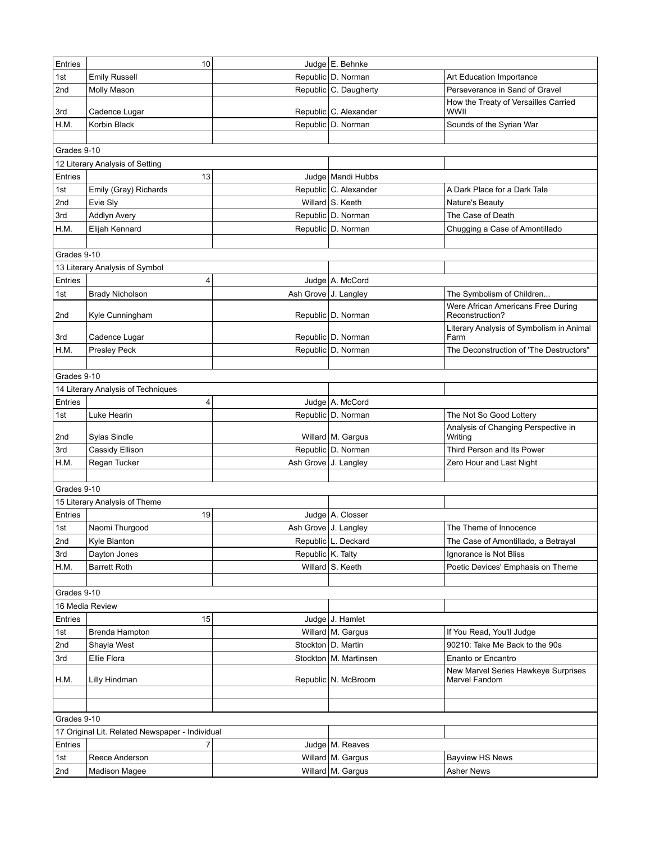| Entries     | 10                                              |                      | Judge E. Behnke         |                                                      |
|-------------|-------------------------------------------------|----------------------|-------------------------|------------------------------------------------------|
| 1st         | <b>Emily Russell</b>                            |                      | Republic D. Norman      | Art Education Importance                             |
| 2nd         | Molly Mason                                     |                      | Republic C. Daugherty   | Perseverance in Sand of Gravel                       |
| 3rd         | Cadence Lugar                                   |                      | Republic C. Alexander   | How the Treaty of Versailles Carried<br>WWII         |
| H.M.        | Korbin Black                                    |                      | Republic D. Norman      | Sounds of the Syrian War                             |
|             |                                                 |                      |                         |                                                      |
| Grades 9-10 |                                                 |                      |                         |                                                      |
|             | 12 Literary Analysis of Setting                 |                      |                         |                                                      |
| Entries     | 13                                              |                      | Judge   Mandi Hubbs     |                                                      |
| 1st         | Emily (Gray) Richards                           |                      | Republic C. Alexander   | A Dark Place for a Dark Tale                         |
| 2nd         | Evie Sly                                        |                      | Willard S. Keeth        | Nature's Beauty                                      |
| 3rd         | <b>Addlyn Avery</b>                             |                      | Republic D. Norman      | The Case of Death                                    |
| H.M.        | Elijah Kennard                                  |                      | Republic D. Norman      | Chugging a Case of Amontillado                       |
|             |                                                 |                      |                         |                                                      |
| Grades 9-10 |                                                 |                      |                         |                                                      |
|             | 13 Literary Analysis of Symbol                  |                      |                         |                                                      |
| Entries     | 4                                               |                      | Judge   A. McCord       |                                                      |
| 1st         | <b>Brady Nicholson</b>                          |                      | Ash Grove J. Langley    | The Symbolism of Children                            |
|             |                                                 |                      |                         | Were African Americans Free During                   |
| 2nd         | Kyle Cunningham                                 |                      | Republic   D. Norman    | Reconstruction?                                      |
| 3rd         | Cadence Lugar                                   |                      | Republic   D. Norman    | Literary Analysis of Symbolism in Animal<br>Farm     |
| H.M.        | Presley Peck                                    |                      | Republic   D. Norman    | The Deconstruction of 'The Destructors"              |
|             |                                                 |                      |                         |                                                      |
| Grades 9-10 |                                                 |                      |                         |                                                      |
|             | 14 Literary Analysis of Techniques              |                      |                         |                                                      |
| Entries     | 4                                               |                      | Judge   A. McCord       |                                                      |
| 1st         | Luke Hearin                                     |                      | Republic D. Norman      | The Not So Good Lottery                              |
| 2nd         | Sylas Sindle                                    |                      | Willard   M. Gargus     | Analysis of Changing Perspective in<br>Writing       |
| 3rd         | Cassidy Ellison                                 |                      | Republic D. Norman      | Third Person and Its Power                           |
| H.M.        | Regan Tucker                                    | Ash Grove J. Langley |                         | Zero Hour and Last Night                             |
|             |                                                 |                      |                         |                                                      |
| Grades 9-10 |                                                 |                      |                         |                                                      |
|             | 15 Literary Analysis of Theme                   |                      |                         |                                                      |
| Entries     | 19                                              |                      | Judge   A. Closser      |                                                      |
| 1st         | Naomi Thurgood                                  |                      | Ash Grove J. Langley    | The Theme of Innocence                               |
| 2nd         | Kyle Blanton                                    |                      | Republic L. Deckard     | The Case of Amontillado, a Betrayal                  |
| 3rd         | Dayton Jones                                    | Republic K. Talty    |                         | Ignorance is Not Bliss                               |
| H.M.        | <b>Barrett Roth</b>                             |                      | Willard S. Keeth        | Poetic Devices' Emphasis on Theme                    |
|             |                                                 |                      |                         |                                                      |
| Grades 9-10 |                                                 |                      |                         |                                                      |
|             | 16 Media Review                                 |                      |                         |                                                      |
| Entries     | 15                                              |                      | Judge J. Hamlet         |                                                      |
| 1st         | Brenda Hampton                                  |                      | Willard   M. Gargus     | If You Read, You'll Judge                            |
| 2nd         | Shayla West                                     |                      | Stockton   D. Martin    | 90210: Take Me Back to the 90s                       |
| 3rd         | Ellie Flora                                     |                      | Stockton   M. Martinsen | Enanto or Encantro                                   |
| H.M.        | Lilly Hindman                                   |                      | Republic N. McBroom     | New Marvel Series Hawkeye Surprises<br>Marvel Fandom |
|             |                                                 |                      |                         |                                                      |
|             |                                                 |                      |                         |                                                      |
| Grades 9-10 |                                                 |                      |                         |                                                      |
|             | 17 Original Lit. Related Newspaper - Individual |                      |                         |                                                      |
| Entries     | $\overline{7}$                                  |                      | Judge   M. Reaves       |                                                      |
| 1st         | Reece Anderson                                  |                      | Willard   M. Gargus     | <b>Bayview HS News</b>                               |
| 2nd         | <b>Madison Magee</b>                            |                      | Willard M. Gargus       | <b>Asher News</b>                                    |
|             |                                                 |                      |                         |                                                      |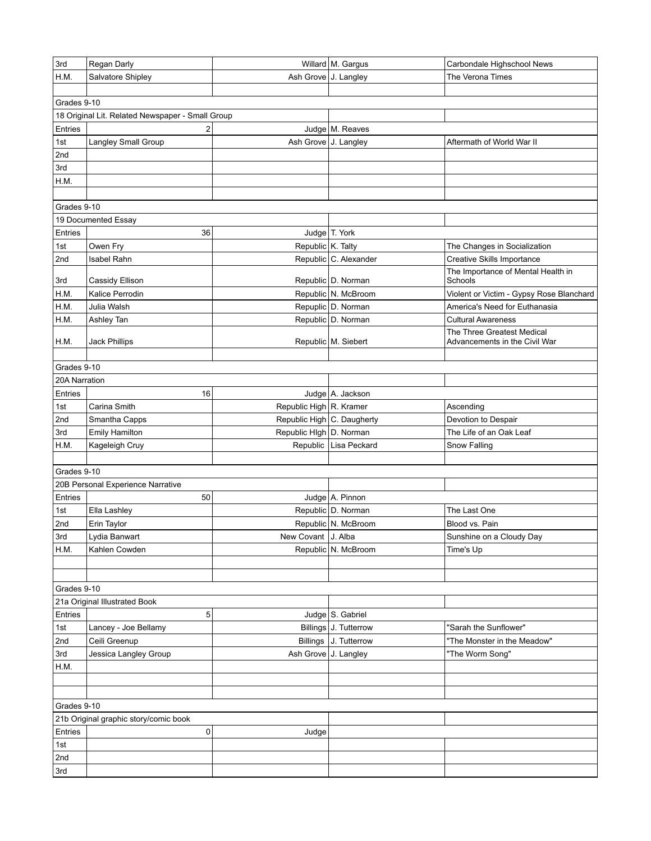| 3rd           | Regan Darly                                      |                            | Willard M. Gargus       | Carbondale Highschool News               |
|---------------|--------------------------------------------------|----------------------------|-------------------------|------------------------------------------|
| H.M.          | Salvatore Shipley                                | Ash Grove J. Langley       |                         | The Verona Times                         |
|               |                                                  |                            |                         |                                          |
| Grades 9-10   |                                                  |                            |                         |                                          |
|               | 18 Original Lit. Related Newspaper - Small Group |                            |                         |                                          |
| Entries       | 2                                                |                            | Judge   M. Reaves       |                                          |
| 1st           | Langley Small Group                              | Ash Grove J. Langley       |                         | Aftermath of World War II                |
| 2nd           |                                                  |                            |                         |                                          |
| 3rd           |                                                  |                            |                         |                                          |
| H.M.          |                                                  |                            |                         |                                          |
|               |                                                  |                            |                         |                                          |
| Grades 9-10   |                                                  |                            |                         |                                          |
|               | 19 Documented Essay                              |                            |                         |                                          |
| Entries       | 36                                               |                            | Judge T. York           |                                          |
| 1st           | Owen Fry                                         | Republic K. Talty          |                         | The Changes in Socialization             |
| 2nd           | Isabel Rahn                                      |                            | Republic C. Alexander   | <b>Creative Skills Importance</b>        |
|               |                                                  |                            |                         | The Importance of Mental Health in       |
| 3rd           | Cassidy Ellison                                  |                            | Republic   D. Norman    | Schools                                  |
| H.M.          | Kalice Perrodin                                  |                            | Republic N. McBroom     | Violent or Victim - Gypsy Rose Blanchard |
| H.M.          | Julia Walsh                                      |                            | Repuplic D. Norman      | America's Need for Euthanasia            |
| H.M.          | Ashley Tan                                       |                            | Republic   D. Norman    | <b>Cultural Awareness</b>                |
|               |                                                  |                            |                         | The Three Greatest Medical               |
| H.M.          | Jack Phillips                                    |                            | Republic M. Siebert     | Advancements in the Civil War            |
|               |                                                  |                            |                         |                                          |
| Grades 9-10   |                                                  |                            |                         |                                          |
| 20A Narration |                                                  |                            |                         |                                          |
| Entries       | 16                                               |                            | Judge   A. Jackson      |                                          |
| 1st           | Carina Smith                                     | Republic High R. Kramer    |                         | Ascending                                |
| 2nd           | Smantha Capps                                    | Republic High C. Daugherty |                         | Devotion to Despair                      |
| 3rd           | <b>Emily Hamilton</b>                            | Republic High D. Norman    |                         | The Life of an Oak Leaf                  |
| H.M.          | Kageleigh Cruy                                   |                            | Republic   Lisa Peckard | Snow Falling                             |
|               |                                                  |                            |                         |                                          |
| Grades 9-10   |                                                  |                            |                         |                                          |
|               | 20B Personal Experience Narrative                |                            |                         |                                          |
| Entries       | 50                                               |                            | Judge A. Pinnon         |                                          |
| 1st           | Ella Lashley                                     |                            | Republic D. Norman      | The Last One                             |
| 2nd           | Erin Taylor                                      |                            | Republic N. McBroom     | Blood vs. Pain                           |
| 3rd           | Lydia Banwart                                    | New Covant   J. Alba       |                         | Sunshine on a Cloudy Day                 |
| H.M.          | Kahlen Cowden                                    |                            | Republic   N. McBroom   | Time's Up                                |
|               |                                                  |                            |                         |                                          |
|               |                                                  |                            |                         |                                          |
| Grades 9-10   |                                                  |                            |                         |                                          |
|               | 21a Original Illustrated Book                    |                            |                         |                                          |
| Entries       | 5                                                |                            | Judge S. Gabriel        |                                          |
| 1st           | Lancey - Joe Bellamy                             |                            | Billings J. Tutterrow   | "Sarah the Sunflower"                    |
| 2nd           | Ceili Greenup                                    |                            | Billings J. Tutterrow   | "The Monster in the Meadow"              |
| 3rd           | Jessica Langley Group                            | Ash Grove J. Langley       |                         | "The Worm Song"                          |
| H.M.          |                                                  |                            |                         |                                          |
|               |                                                  |                            |                         |                                          |
|               |                                                  |                            |                         |                                          |
| Grades 9-10   |                                                  |                            |                         |                                          |
|               | 21b Original graphic story/comic book            |                            |                         |                                          |
| Entries       | 0                                                | Judge                      |                         |                                          |
| 1st           |                                                  |                            |                         |                                          |
| 2nd           |                                                  |                            |                         |                                          |
| 3rd           |                                                  |                            |                         |                                          |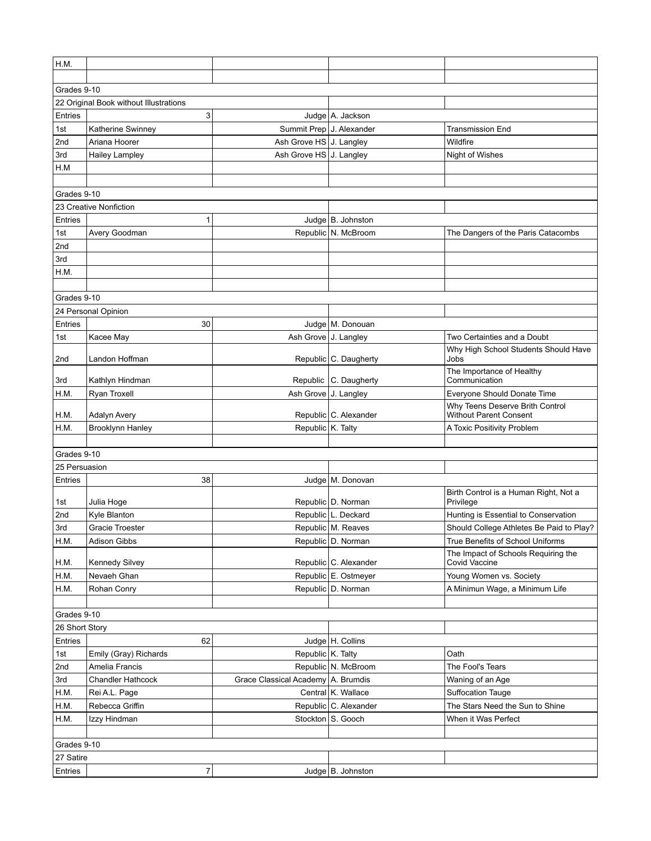| H.M.           |                                         |                                      |                         |                                                           |
|----------------|-----------------------------------------|--------------------------------------|-------------------------|-----------------------------------------------------------|
|                |                                         |                                      |                         |                                                           |
| Grades 9-10    |                                         |                                      |                         |                                                           |
|                | 22 Original Book without Illustrations  |                                      |                         |                                                           |
| Entries        | 3                                       |                                      | Judge   A. Jackson      |                                                           |
| 1st            | Katherine Swinney                       | Summit Prep J. Alexander             |                         | <b>Transmission End</b>                                   |
| 2nd            | Ariana Hoorer                           | Ash Grove HS J. Langley              |                         | Wildfire                                                  |
| 3rd            | <b>Hailey Lampley</b>                   | Ash Grove HS J. Langley              |                         | Night of Wishes                                           |
| H.M            |                                         |                                      |                         |                                                           |
|                |                                         |                                      |                         |                                                           |
| Grades 9-10    |                                         |                                      |                         |                                                           |
|                | 23 Creative Nonfiction                  |                                      |                         |                                                           |
| Entries        | 1                                       |                                      | Judge $ B$ . Johnston   |                                                           |
| 1st            | Avery Goodman                           |                                      | Republic   N. McBroom   | The Dangers of the Paris Catacombs                        |
| 2nd            |                                         |                                      |                         |                                                           |
| 3rd            |                                         |                                      |                         |                                                           |
| H.M.           |                                         |                                      |                         |                                                           |
|                |                                         |                                      |                         |                                                           |
| Grades 9-10    |                                         |                                      |                         |                                                           |
|                | 24 Personal Opinion                     |                                      |                         |                                                           |
| Entries        | 30                                      |                                      | Judge M. Donouan        |                                                           |
| 1st            | Kacee May                               | Ash Grove J. Langley                 |                         | Two Certainties and a Doubt                               |
| 2nd            | Landon Hoffman                          |                                      | Republic C. Daugherty   | Why High School Students Should Have<br>Jobs              |
|                |                                         |                                      |                         | The Importance of Healthy                                 |
| 3rd            | Kathlyn Hindman                         |                                      | Republic   C. Daugherty | Communication                                             |
| H.M.           | Ryan Troxell                            |                                      | Ash Grove J. Langley    | Everyone Should Donate Time                               |
|                |                                         |                                      |                         | Why Teens Deserve Brith Control<br>Without Parent Consent |
| H.M.<br>H.M.   | Adalyn Avery<br><b>Brooklynn Hanley</b> | Republic K. Talty                    | Republic C. Alexander   |                                                           |
|                |                                         |                                      |                         | A Toxic Positivity Problem                                |
| Grades 9-10    |                                         |                                      |                         |                                                           |
| 25 Persuasion  |                                         |                                      |                         |                                                           |
| Entries        | 38                                      |                                      | Judge   M. Donovan      |                                                           |
|                |                                         |                                      |                         | Birth Control is a Human Right, Not a                     |
| 1st            | Julia Hoge                              |                                      | Republic   D. Norman    | Privilege                                                 |
| 2nd            | Kyle Blanton                            |                                      | Republic L. Deckard     | Hunting is Essential to Conservation                      |
| 3rd            | Gracie Troester                         |                                      | Republic M. Reaves      | Should College Athletes Be Paid to Play?                  |
| H.M.           | Adison Gibbs                            |                                      | Republic   D. Norman    | True Benefits of School Uniforms                          |
|                |                                         |                                      |                         | The Impact of Schools Requiring the                       |
| H.M.           | <b>Kennedy Silvey</b>                   |                                      | Republic C. Alexander   | Covid Vaccine                                             |
| H.M.           | Nevaeh Ghan                             |                                      | Republic E. Ostmeyer    | Young Women vs. Society                                   |
| H.M.           | Rohan Conry                             |                                      | Republic   D. Norman    | A Minimun Wage, a Minimum Life                            |
|                |                                         |                                      |                         |                                                           |
| Grades 9-10    |                                         |                                      |                         |                                                           |
| 26 Short Story |                                         |                                      |                         |                                                           |
| Entries        | 62                                      |                                      | Judge H. Collins        |                                                           |
| 1st            | Emily (Gray) Richards                   | Republic K. Talty                    |                         | Oath                                                      |
| 2nd            | Amelia Francis                          |                                      | Republic N. McBroom     | The Fool's Tears                                          |
| 3rd            | <b>Chandler Hathcock</b>                | Grace Classical Academy   A. Brumdis |                         | Waning of an Age                                          |
| H.M.           | Rei A.L. Page                           |                                      | Central K. Wallace      | <b>Suffocation Tauge</b>                                  |
| H.M.           | Rebecca Griffin                         |                                      | Republic C. Alexander   | The Stars Need the Sun to Shine                           |
| H.M.           | Izzy Hindman                            |                                      | Stockton   S. Gooch     | When it Was Perfect                                       |
| Grades 9-10    |                                         |                                      |                         |                                                           |
| 27 Satire      |                                         |                                      |                         |                                                           |
| Entries        | 7                                       |                                      | Judge $ B$ . Johnston   |                                                           |
|                |                                         |                                      |                         |                                                           |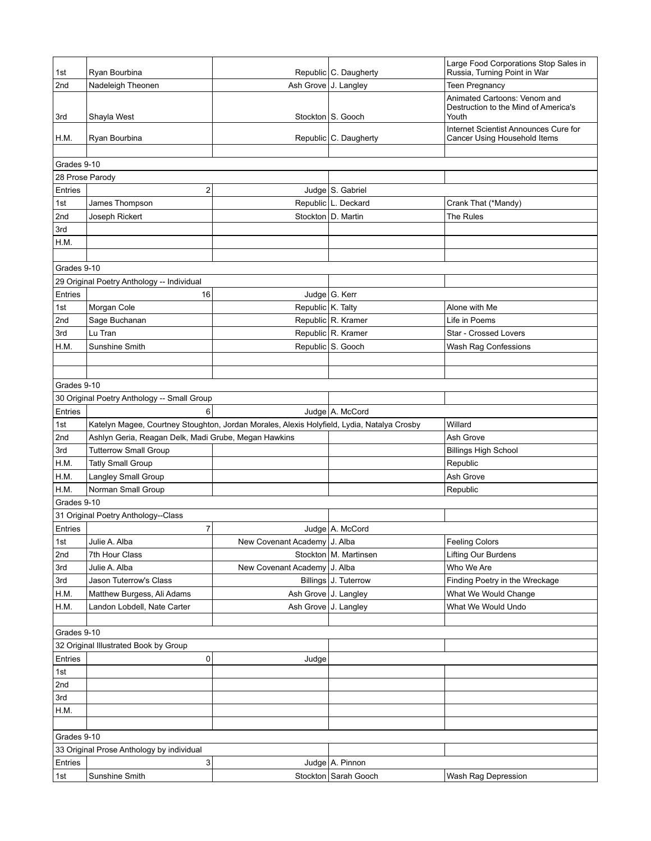| 1st                                         | Ryan Bourbina                                                                              |                              | Republic C. Daugherty   | Large Food Corporations Stop Sales in<br>Russia, Turning Point in War         |
|---------------------------------------------|--------------------------------------------------------------------------------------------|------------------------------|-------------------------|-------------------------------------------------------------------------------|
| 2nd                                         | Nadeleigh Theonen                                                                          | Ash Grove J. Langley         |                         | <b>Teen Pregnancy</b>                                                         |
| 3rd                                         | Shayla West                                                                                |                              | Stockton   S. Gooch     | Animated Cartoons: Venom and<br>Destruction to the Mind of America's<br>Youth |
| H.M.                                        | Ryan Bourbina                                                                              |                              | Republic C. Daugherty   | Internet Scientist Announces Cure for<br>Cancer Using Household Items         |
| Grades 9-10                                 |                                                                                            |                              |                         |                                                                               |
| 28 Prose Parody                             |                                                                                            |                              |                         |                                                                               |
| Entries                                     | $\overline{2}$                                                                             |                              | Judge S. Gabriel        |                                                                               |
|                                             | James Thompson                                                                             |                              | Republic   L. Deckard   | Crank That (*Mandy)                                                           |
| 1st<br>2nd                                  | Joseph Rickert                                                                             |                              | Stockton   D. Martin    | The Rules                                                                     |
| 3rd                                         |                                                                                            |                              |                         |                                                                               |
| H.M.                                        |                                                                                            |                              |                         |                                                                               |
|                                             |                                                                                            |                              |                         |                                                                               |
| Grades 9-10                                 |                                                                                            |                              |                         |                                                                               |
|                                             | 29 Original Poetry Anthology -- Individual                                                 |                              |                         |                                                                               |
| Entries                                     | 16                                                                                         |                              | Judge G. Kerr           |                                                                               |
| 1st                                         | Morgan Cole                                                                                | Republic K. Talty            |                         | Alone with Me                                                                 |
| 2nd                                         | Sage Buchanan                                                                              |                              | Republic R. Kramer      | Life in Poems                                                                 |
| 3rd                                         | Lu Tran                                                                                    |                              | Republic R. Kramer      | Star - Crossed Lovers                                                         |
| H.M.                                        | Sunshine Smith                                                                             |                              | Republic S. Gooch       | Wash Rag Confessions                                                          |
|                                             |                                                                                            |                              |                         |                                                                               |
|                                             |                                                                                            |                              |                         |                                                                               |
| Grades 9-10                                 |                                                                                            |                              |                         |                                                                               |
| 30 Original Poetry Anthology -- Small Group |                                                                                            |                              |                         |                                                                               |
| Entries                                     | 6                                                                                          |                              | Judge A. McCord         |                                                                               |
| 1st                                         | Katelyn Magee, Courtney Stoughton, Jordan Morales, Alexis Holyfield, Lydia, Natalya Crosby |                              |                         | Willard                                                                       |
| 2nd                                         | Ashlyn Geria, Reagan Delk, Madi Grube, Megan Hawkins                                       |                              |                         | Ash Grove                                                                     |
| 3rd                                         | <b>Tutterrow Small Group</b>                                                               |                              |                         | <b>Billings High School</b>                                                   |
| H.M.                                        | <b>Tatly Small Group</b>                                                                   |                              |                         | Republic                                                                      |
| H.M.                                        | <b>Langley Small Group</b>                                                                 |                              |                         | Ash Grove                                                                     |
| H.M.                                        | Norman Small Group                                                                         |                              |                         | Republic                                                                      |
| Grades 9-10                                 |                                                                                            |                              |                         |                                                                               |
|                                             | 31 Original Poetry Anthology--Class                                                        |                              |                         |                                                                               |
| Entries                                     | $\overline{7}$                                                                             |                              | Judge   A. McCord       |                                                                               |
| 1st                                         | Julie A. Alba                                                                              | New Covenant Academy J. Alba |                         | <b>Feeling Colors</b>                                                         |
| 2nd                                         | 7th Hour Class                                                                             |                              | Stockton   M. Martinsen | Lifting Our Burdens                                                           |
| 3rd                                         | Julie A. Alba                                                                              | New Covenant Academy J. Alba |                         | Who We Are                                                                    |
| 3rd                                         | Jason Tuterrow's Class                                                                     |                              | Billings J. Tuterrow    | Finding Poetry in the Wreckage                                                |
| H.M.                                        | Matthew Burgess, Ali Adams                                                                 | Ash Grove J. Langley         |                         | What We Would Change                                                          |
| H.M.                                        | Landon Lobdell, Nate Carter                                                                | Ash Grove J. Langley         |                         | What We Would Undo                                                            |
|                                             |                                                                                            |                              |                         |                                                                               |
| Grades 9-10                                 |                                                                                            |                              |                         |                                                                               |
|                                             | 32 Original Illustrated Book by Group                                                      |                              |                         |                                                                               |
| Entries                                     | 0                                                                                          | Judge                        |                         |                                                                               |
| 1st                                         |                                                                                            |                              |                         |                                                                               |
| 2nd                                         |                                                                                            |                              |                         |                                                                               |
| 3rd                                         |                                                                                            |                              |                         |                                                                               |
| H.M.                                        |                                                                                            |                              |                         |                                                                               |
|                                             |                                                                                            |                              |                         |                                                                               |
| Grades 9-10                                 |                                                                                            |                              |                         |                                                                               |
|                                             | 33 Original Prose Anthology by individual                                                  |                              |                         |                                                                               |
| Entries                                     | 3                                                                                          |                              | Judge A. Pinnon         |                                                                               |
| 1st                                         | Sunshine Smith                                                                             |                              | Stockton   Sarah Gooch  | Wash Rag Depression                                                           |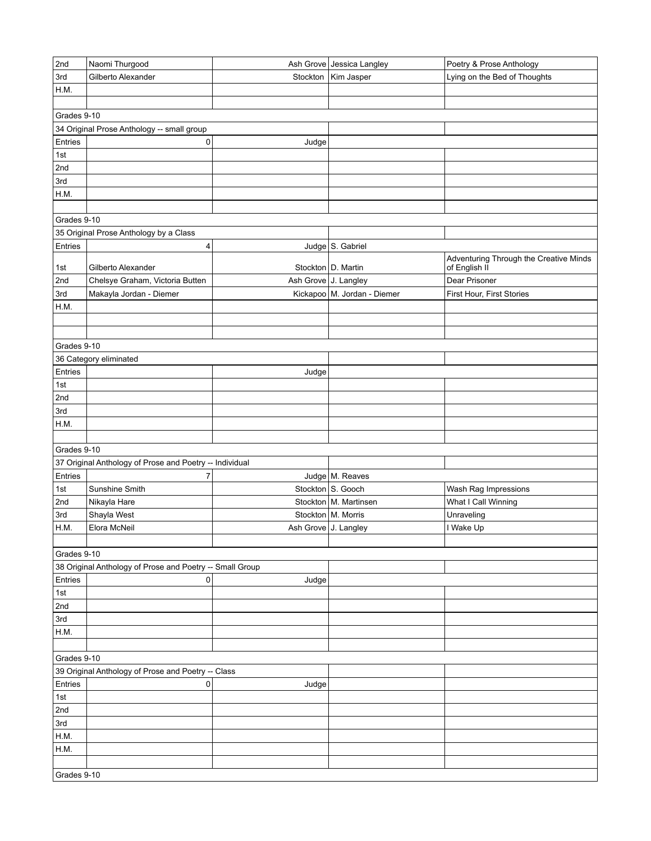| 2nd         | Naomi Thurgood                                           |                      | Ash Grove Jessica Langley     | Poetry & Prose Anthology               |  |  |  |
|-------------|----------------------------------------------------------|----------------------|-------------------------------|----------------------------------------|--|--|--|
| 3rd         | Gilberto Alexander                                       | Stockton             | Kim Jasper                    | Lying on the Bed of Thoughts           |  |  |  |
| H.M.        |                                                          |                      |                               |                                        |  |  |  |
|             |                                                          |                      |                               |                                        |  |  |  |
| Grades 9-10 |                                                          |                      |                               |                                        |  |  |  |
|             | 34 Original Prose Anthology -- small group               |                      |                               |                                        |  |  |  |
| Entries     | 0                                                        | Judge                |                               |                                        |  |  |  |
| 1st         |                                                          |                      |                               |                                        |  |  |  |
| 2nd         |                                                          |                      |                               |                                        |  |  |  |
| 3rd         |                                                          |                      |                               |                                        |  |  |  |
| H.M.        |                                                          |                      |                               |                                        |  |  |  |
|             |                                                          |                      |                               |                                        |  |  |  |
|             | Grades 9-10                                              |                      |                               |                                        |  |  |  |
|             | 35 Original Prose Anthology by a Class                   |                      |                               |                                        |  |  |  |
| Entries     | 4                                                        |                      | Judge $\vert$ S. Gabriel      |                                        |  |  |  |
|             |                                                          |                      |                               | Adventuring Through the Creative Minds |  |  |  |
| 1st         | Gilberto Alexander                                       |                      | Stockton   D. Martin          | of English II                          |  |  |  |
| 2nd         | Chelsye Graham, Victoria Butten                          | Ash Grove J. Langley |                               | Dear Prisoner                          |  |  |  |
| 3rd         | Makayla Jordan - Diemer                                  |                      | Kickapoo   M. Jordan - Diemer | First Hour, First Stories              |  |  |  |
| H.M.        |                                                          |                      |                               |                                        |  |  |  |
|             |                                                          |                      |                               |                                        |  |  |  |
|             |                                                          |                      |                               |                                        |  |  |  |
| Grades 9-10 |                                                          |                      |                               |                                        |  |  |  |
|             | 36 Category eliminated                                   |                      |                               |                                        |  |  |  |
| Entries     |                                                          | Judge                |                               |                                        |  |  |  |
| 1st         |                                                          |                      |                               |                                        |  |  |  |
| 2nd         |                                                          |                      |                               |                                        |  |  |  |
| 3rd         |                                                          |                      |                               |                                        |  |  |  |
| H.M.        |                                                          |                      |                               |                                        |  |  |  |
|             |                                                          |                      |                               |                                        |  |  |  |
| Grades 9-10 |                                                          |                      |                               |                                        |  |  |  |
|             | 37 Original Anthology of Prose and Poetry -- Individual  |                      |                               |                                        |  |  |  |
| Entries     | 7                                                        |                      | Judge   M. Reaves             |                                        |  |  |  |
| 1st         | Sunshine Smith                                           |                      | Stockton S. Gooch             | Wash Rag Impressions                   |  |  |  |
| 2nd         | Nikayla Hare                                             |                      | Stockton   M. Martinsen       | What I Call Winning                    |  |  |  |
| 3rd         | Shayla West                                              |                      | Stockton   M. Morris          | Unraveling                             |  |  |  |
| H.M.        | Elora McNeil                                             | Ash Grove J. Langley |                               | I Wake Up                              |  |  |  |
|             |                                                          |                      |                               |                                        |  |  |  |
| Grades 9-10 |                                                          |                      |                               |                                        |  |  |  |
|             | 38 Original Anthology of Prose and Poetry -- Small Group |                      |                               |                                        |  |  |  |
| Entries     | 0                                                        | Judge                |                               |                                        |  |  |  |
| 1st         |                                                          |                      |                               |                                        |  |  |  |
| 2nd         |                                                          |                      |                               |                                        |  |  |  |
| 3rd         |                                                          |                      |                               |                                        |  |  |  |
| H.M.        |                                                          |                      |                               |                                        |  |  |  |
|             |                                                          |                      |                               |                                        |  |  |  |
| Grades 9-10 |                                                          |                      |                               |                                        |  |  |  |
|             | 39 Original Anthology of Prose and Poetry -- Class       |                      |                               |                                        |  |  |  |
| Entries     | 0                                                        | Judge                |                               |                                        |  |  |  |
| 1st         |                                                          |                      |                               |                                        |  |  |  |
| 2nd         |                                                          |                      |                               |                                        |  |  |  |
| 3rd         |                                                          |                      |                               |                                        |  |  |  |
| H.M.        |                                                          |                      |                               |                                        |  |  |  |
| H.M.        |                                                          |                      |                               |                                        |  |  |  |
|             |                                                          |                      |                               |                                        |  |  |  |
| Grades 9-10 |                                                          |                      |                               |                                        |  |  |  |
|             |                                                          |                      |                               |                                        |  |  |  |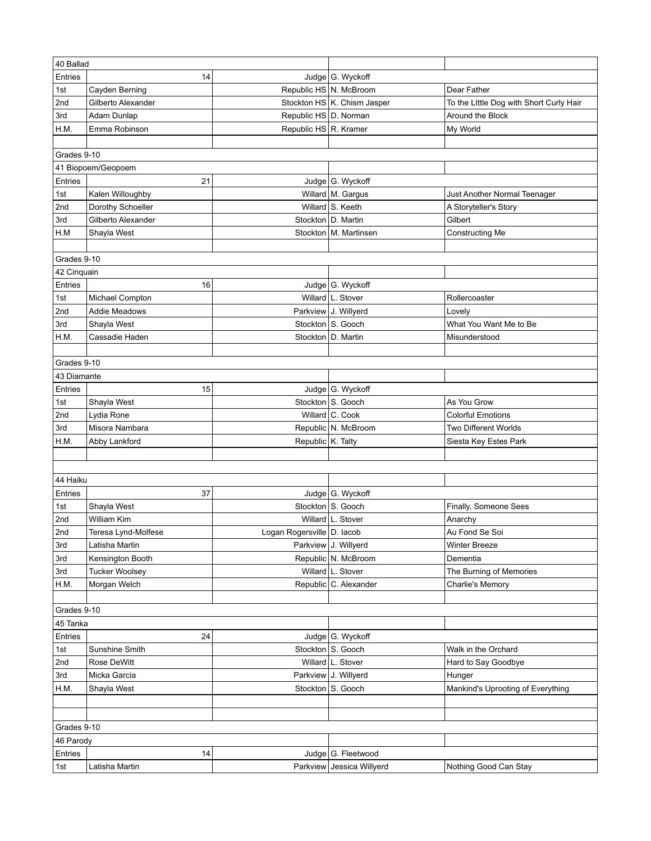| Entries<br>14<br>Judge G. Wyckoff<br>Republic HS   N. McBroom<br>Dear Father<br>Cayden Berning<br>1st |  |
|-------------------------------------------------------------------------------------------------------|--|
|                                                                                                       |  |
|                                                                                                       |  |
| Stockton HS   K. Chism Jasper<br>2nd<br>Gilberto Alexander<br>To the Little Dog with Short Curly Hair |  |
| Republic HS D. Norman<br>Around the Block<br>3rd<br>Adam Dunlap                                       |  |
| Republic HS R. Kramer<br>My World<br>H.M.<br>Emma Robinson                                            |  |
|                                                                                                       |  |
| Grades 9-10                                                                                           |  |
| 41 Biopoem/Geopoem                                                                                    |  |
| Entries<br>Judge G. Wyckoff<br>21                                                                     |  |
| 1st<br>Kalen Willoughby<br>Willard   M. Gargus<br>Just Another Normal Teenager                        |  |
| 2nd<br>Willard S. Keeth<br>Dorothy Schoeller<br>A Storyteller's Story                                 |  |
| 3rd<br>Gilberto Alexander<br>Stockton   D. Martin<br>Gilbert                                          |  |
| H.M<br>Stockton   M. Martinsen<br>Shayla West<br>Constructing Me                                      |  |
|                                                                                                       |  |
| Grades 9-10                                                                                           |  |
| 42 Cinquain                                                                                           |  |
| Entries<br>16<br>Judge G. Wyckoff                                                                     |  |
| Willard L. Stover<br>Rollercoaster<br>1st<br>Michael Compton                                          |  |
| 2nd<br>Parkview J. Willyerd<br>Addie Meadows<br>Lovely                                                |  |
| Stockton S. Gooch<br>What You Want Me to Be<br>3rd<br>Shayla West                                     |  |
| H.M.<br>Cassadie Haden<br>Stockton   D. Martin<br>Misunderstood                                       |  |
|                                                                                                       |  |
| Grades 9-10                                                                                           |  |
| 43 Diamante                                                                                           |  |
| Entries<br>Judge G. Wyckoff<br>15                                                                     |  |
| Stockton S. Gooch<br>As You Grow<br>1st<br>Shayla West                                                |  |
| Willard C. Cook<br>2nd<br><b>Colorful Emotions</b><br>Lydia Rone                                      |  |
| Republic N. McBroom<br>3rd<br>Misora Nambara<br><b>Two Different Worlds</b>                           |  |
| Republic K. Talty<br>H.M.<br>Abby Lankford<br>Siesta Key Estes Park                                   |  |
|                                                                                                       |  |
|                                                                                                       |  |
| 44 Haiku                                                                                              |  |
| 37<br>Judge G. Wyckoff<br>Entries                                                                     |  |
| Stockton S. Gooch<br>Shayla West<br>1st<br>Finally, Someone Sees                                      |  |
| 2nd<br>Willard L. Stover<br>William Kim<br>Anarchy                                                    |  |
| 2nd<br>Teresa Lynd-Molfese<br>Logan Rogersville D. lacob<br>Au Fond Se Soi                            |  |
| Parkview J. Willyerd<br>3rd<br>Latisha Martin<br><b>Winter Breeze</b>                                 |  |
| Republic N. McBroom<br>Kensington Booth<br>3rd<br>Dementia                                            |  |
| Willard L. Stover<br>The Burning of Memories<br><b>Tucker Woolsey</b><br>3rd                          |  |
| Republic C. Alexander<br>H.M.<br>Morgan Welch<br>Charlie's Memory                                     |  |
|                                                                                                       |  |
| Grades 9-10                                                                                           |  |
| 45 Tanka                                                                                              |  |
| Entries<br>24<br>Judge   G. Wyckoff                                                                   |  |
| Stockton   S. Gooch<br>1st<br>Sunshine Smith<br>Walk in the Orchard                                   |  |
| 2nd<br>Rose DeWitt<br>Willard   L. Stover<br>Hard to Say Goodbye                                      |  |
| 3rd<br>Micka Garcia<br>Parkview J. Willyerd<br>Hunger                                                 |  |
| H.M.<br>Shayla West<br>Stockton   S. Gooch<br>Mankind's Uprooting of Everything                       |  |
|                                                                                                       |  |
|                                                                                                       |  |
| Grades 9-10                                                                                           |  |
| 46 Parody                                                                                             |  |
| Entries<br>Judge   G. Fleetwood<br>14                                                                 |  |
| Parkview Jessica Willyerd<br>Latisha Martin<br>1st<br>Nothing Good Can Stay                           |  |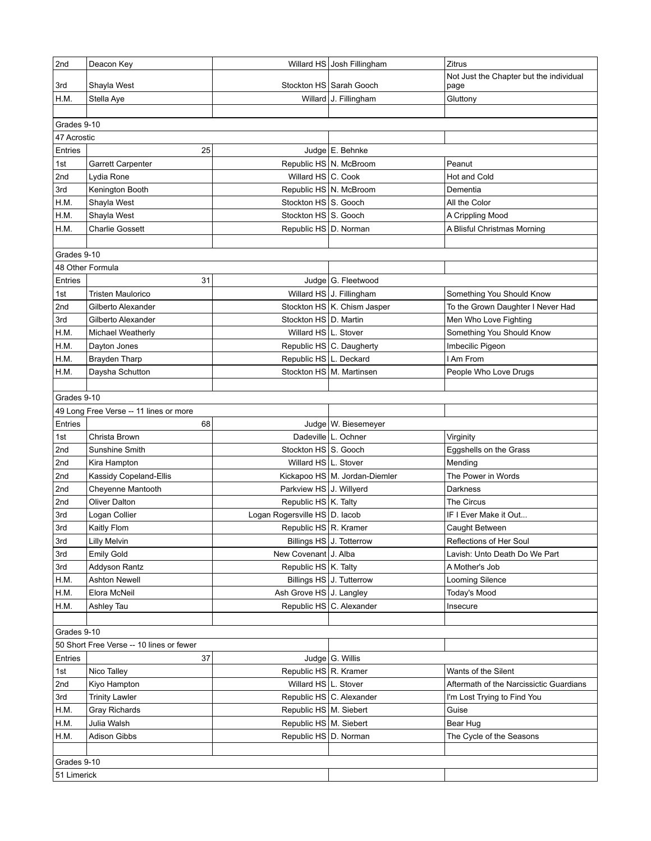| 2nd         | Deacon Key                               |                                                      | Willard HS Josh Fillingham      | Zitrus                                                         |  |
|-------------|------------------------------------------|------------------------------------------------------|---------------------------------|----------------------------------------------------------------|--|
| 3rd         | Shayla West                              |                                                      | Stockton HS   Sarah Gooch       | Not Just the Chapter but the individual<br>page                |  |
| H.M.        | Stella Aye                               |                                                      | Willard J. Fillingham           | Gluttony                                                       |  |
|             |                                          |                                                      |                                 |                                                                |  |
| Grades 9-10 |                                          |                                                      |                                 |                                                                |  |
| 47 Acrostic |                                          |                                                      |                                 |                                                                |  |
| Entries     | 25                                       |                                                      | Judge E. Behnke                 |                                                                |  |
| 1st         | Garrett Carpenter                        |                                                      | Republic HS   N. McBroom        | Peanut                                                         |  |
| 2nd         | Lydia Rone                               | Willard HS C. Cook                                   |                                 | Hot and Cold                                                   |  |
| 3rd         | Kenington Booth                          |                                                      | Republic HS   N. McBroom        | Dementia                                                       |  |
| H.M.        | Shayla West                              | Stockton HS S. Gooch                                 |                                 | All the Color                                                  |  |
| H.M.        | Shayla West                              | Stockton HS S. Gooch                                 |                                 | A Crippling Mood                                               |  |
| H.M.        | <b>Charlie Gossett</b>                   | Republic HS   D. Norman                              |                                 | A Blisful Christmas Morning                                    |  |
|             |                                          |                                                      |                                 |                                                                |  |
| Grades 9-10 |                                          |                                                      |                                 |                                                                |  |
|             | 48 Other Formula                         |                                                      |                                 |                                                                |  |
| Entries     | 31                                       |                                                      | Judge G. Fleetwood              |                                                                |  |
| 1st         | Tristen Maulorico                        |                                                      | Willard HS J. Fillingham        | Something You Should Know                                      |  |
| 2nd         | Gilberto Alexander                       |                                                      | Stockton HS K. Chism Jasper     | To the Grown Daughter I Never Had                              |  |
| 3rd         | Gilberto Alexander                       | Stockton HS   D. Martin                              |                                 | Men Who Love Fighting                                          |  |
| H.M.        | Michael Weatherly                        | Willard HS L. Stover                                 |                                 | Something You Should Know                                      |  |
| H.M.        | Dayton Jones                             |                                                      | Republic HS C. Daugherty        | Imbecilic Pigeon                                               |  |
| H.M.        | <b>Brayden Tharp</b>                     | Republic HS L. Deckard                               |                                 | I Am From                                                      |  |
| H.M.        | Daysha Schutton                          |                                                      | Stockton HS   M. Martinsen      | People Who Love Drugs                                          |  |
|             |                                          |                                                      |                                 |                                                                |  |
| Grades 9-10 |                                          |                                                      |                                 |                                                                |  |
|             | 49 Long Free Verse -- 11 lines or more   |                                                      |                                 |                                                                |  |
| Entries     | 68                                       |                                                      | Judge   W. Biesemeyer           |                                                                |  |
| 1st         | Christa Brown                            |                                                      | Dadeville L. Ochner             | Virginity                                                      |  |
| 2nd         | Sunshine Smith                           | Stockton HS S. Gooch                                 |                                 | Eggshells on the Grass                                         |  |
| 2nd         | Kira Hampton                             | Willard HS   L. Stover                               |                                 | Mending                                                        |  |
| 2nd         | Kassidy Copeland-Ellis                   |                                                      | Kickapoo HS   M. Jordan-Diemler | The Power in Words                                             |  |
| 2nd         | Cheyenne Mantooth                        | Parkview HS J. Willyerd                              |                                 | Darkness                                                       |  |
| 2nd         | <b>Oliver Dalton</b>                     | Republic HS   K. Talty                               |                                 | <b>The Circus</b>                                              |  |
| 3rd         | Logan Collier                            | Logan Rogersville HS D. lacob                        |                                 | IF I Ever Make it Out                                          |  |
| 3rd         | Kaitly Flom                              | Republic HS R. Kramer                                |                                 | Caught Between                                                 |  |
| 3rd         | Lilly Melvin                             |                                                      | Billings HS J. Totterrow        | Reflections of Her Soul                                        |  |
| 3rd         | Emily Gold                               | New Covenant J. Alba                                 |                                 | Lavish: Unto Death Do We Part                                  |  |
| 3rd         | Addyson Rantz                            | Republic HS K. Talty                                 |                                 | A Mother's Job                                                 |  |
| H.M.        | <b>Ashton Newell</b>                     |                                                      | Billings HS J. Tutterrow        | Looming Silence                                                |  |
| H.M.        | Elora McNeil                             | Ash Grove HS J. Langley                              |                                 | <b>Today's Mood</b>                                            |  |
| H.M.        | Ashley Tau                               |                                                      | Republic HS C. Alexander        | Insecure                                                       |  |
|             |                                          |                                                      |                                 |                                                                |  |
| Grades 9-10 |                                          |                                                      |                                 |                                                                |  |
|             | 50 Short Free Verse -- 10 lines or fewer |                                                      |                                 |                                                                |  |
| Entries     | 37                                       |                                                      | Judge G. Willis                 |                                                                |  |
| 1st<br>2nd  | Nico Talley                              | Republic HS R. Kramer<br>Willard HS   L. Stover      |                                 | Wants of the Silent<br>Aftermath of the Narcissictic Guardians |  |
|             | Kiyo Hampton                             |                                                      |                                 |                                                                |  |
| 3rd<br>H.M. | <b>Trinity Lawler</b>                    |                                                      | Republic HS C. Alexander        | I'm Lost Trying to Find You                                    |  |
| H.M.        | Gray Richards<br>Julia Walsh             | Republic HS   M. Siebert<br>Republic HS   M. Siebert |                                 | Guise                                                          |  |
| H.M.        | Adison Gibbs                             | Republic HS D. Norman                                |                                 | Bear Hug<br>The Cycle of the Seasons                           |  |
|             |                                          |                                                      |                                 |                                                                |  |
| Grades 9-10 |                                          |                                                      |                                 |                                                                |  |
|             |                                          |                                                      |                                 |                                                                |  |
|             | 51 Limerick                              |                                                      |                                 |                                                                |  |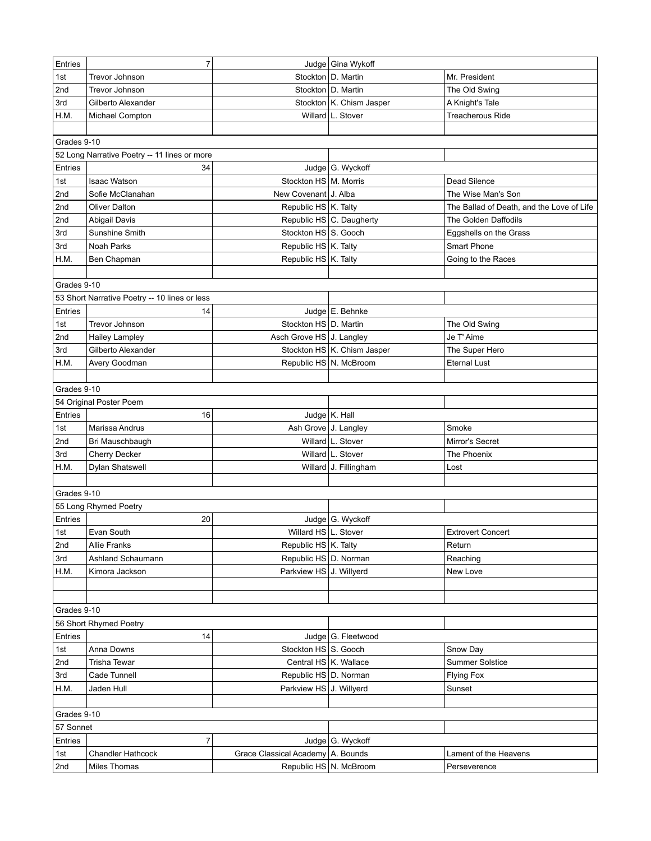| Entries     | $\overline{7}$                                |                                   | Judge Gina Wykoff             |                                           |
|-------------|-----------------------------------------------|-----------------------------------|-------------------------------|-------------------------------------------|
| 1st         | Trevor Johnson                                |                                   | Stockton   D. Martin          | Mr. President                             |
| 2nd         | Trevor Johnson                                |                                   | Stockton   D. Martin          | The Old Swing                             |
| 3rd         | Gilberto Alexander                            |                                   | Stockton   K. Chism Jasper    | A Knight's Tale                           |
| H.M.        | Michael Compton                               |                                   | Willard L. Stover             | <b>Treacherous Ride</b>                   |
|             |                                               |                                   |                               |                                           |
| Grades 9-10 |                                               |                                   |                               |                                           |
|             | 52 Long Narrative Poetry -- 11 lines or more  |                                   |                               |                                           |
| Entries     | 34                                            |                                   | Judge G. Wyckoff              |                                           |
| 1st         | <b>Isaac Watson</b>                           | Stockton HS   M. Morris           |                               | Dead Silence                              |
| 2nd         | Sofie McClanahan                              | New Covenant J. Alba              |                               | The Wise Man's Son                        |
| 2nd         | Oliver Dalton                                 | Republic HS   K. Talty            |                               | The Ballad of Death, and the Love of Life |
| 2nd         | Abigail Davis                                 |                                   | Republic HS C. Daugherty      | The Golden Daffodils                      |
| 3rd         | Sunshine Smith                                | Stockton HS S. Gooch              |                               | Eggshells on the Grass                    |
| 3rd         | Noah Parks                                    | Republic HS   K. Talty            |                               | Smart Phone                               |
| H.M.        | Ben Chapman                                   | Republic HS   K. Talty            |                               | Going to the Races                        |
|             |                                               |                                   |                               |                                           |
| Grades 9-10 |                                               |                                   |                               |                                           |
|             | 53 Short Narrative Poetry -- 10 lines or less |                                   |                               |                                           |
| Entries     | 14                                            |                                   | Judge E. Behnke               |                                           |
| 1st         | Trevor Johnson                                | Stockton HS   D. Martin           |                               | The Old Swing                             |
| 2nd         | <b>Hailey Lampley</b>                         | Asch Grove HS J. Langley          |                               | Je T' Aime                                |
| 3rd         | Gilberto Alexander                            |                                   | Stockton HS   K. Chism Jasper | The Super Hero                            |
| H.M.        | Avery Goodman                                 | Republic HS   N. McBroom          |                               | <b>Eternal Lust</b>                       |
|             |                                               |                                   |                               |                                           |
| Grades 9-10 |                                               |                                   |                               |                                           |
|             |                                               |                                   |                               |                                           |
|             | 54 Original Poster Poem                       |                                   |                               |                                           |
| Entries     | 16                                            |                                   | Judge $K$ . Hall              |                                           |
| 1st         | Marissa Andrus                                | Ash Grove J. Langley              |                               | Smoke                                     |
| 2nd         | Bri Mauschbaugh                               |                                   | Willard L. Stover             | Mirror's Secret                           |
| 3rd         | Cherry Decker                                 |                                   | Willard L. Stover             | The Phoenix                               |
| H.M.        | <b>Dylan Shatswell</b>                        |                                   | Willard J. Fillingham         | Lost                                      |
|             |                                               |                                   |                               |                                           |
| Grades 9-10 |                                               |                                   |                               |                                           |
|             | 55 Long Rhymed Poetry                         |                                   |                               |                                           |
| Entries     | 20                                            |                                   | Judge   G. Wyckoff            |                                           |
| 1st         | Evan South                                    | Willard HS L. Stover              |                               | <b>Extrovert Concert</b>                  |
| 2nd         | Allie Franks                                  | Republic HS   K. Talty            |                               | Return                                    |
| 3rd         | Ashland Schaumann                             | Republic HS D. Norman             |                               | Reaching                                  |
| H.M.        | Kimora Jackson                                | Parkview HS J. Willyerd           |                               | New Love                                  |
|             |                                               |                                   |                               |                                           |
|             |                                               |                                   |                               |                                           |
| Grades 9-10 |                                               |                                   |                               |                                           |
|             | 56 Short Rhymed Poetry                        |                                   |                               |                                           |
| Entries     | 14                                            |                                   | Judge   G. Fleetwood          |                                           |
| 1st         | Anna Downs                                    | Stockton HS S. Gooch              |                               | Snow Day                                  |
| 2nd         | Trisha Tewar                                  |                                   | Central HS   K. Wallace       | <b>Summer Solstice</b>                    |
| 3rd         | Cade Tunnell                                  | Republic HS   D. Norman           |                               | <b>Flying Fox</b>                         |
| H.M.        | Jaden Hull                                    | Parkview HS J. Willyerd           |                               | Sunset                                    |
|             |                                               |                                   |                               |                                           |
| Grades 9-10 |                                               |                                   |                               |                                           |
| 57 Sonnet   |                                               |                                   |                               |                                           |
| Entries     | $\overline{7}$                                |                                   | Judge G. Wyckoff              |                                           |
| 1st         | <b>Chandler Hathcock</b>                      | Grace Classical Academy A. Bounds |                               | Lament of the Heavens                     |
| 2nd         | Miles Thomas                                  |                                   | Republic HS   N. McBroom      | Perseverence                              |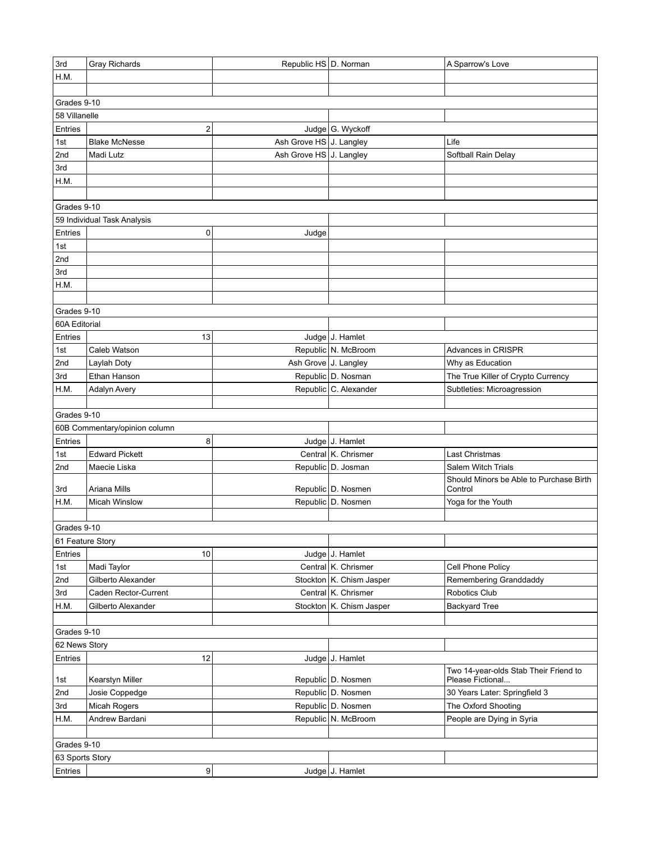| 3rd              | Gray Richards                 | Republic HS D. Norman   |                            | A Sparrow's Love                        |
|------------------|-------------------------------|-------------------------|----------------------------|-----------------------------------------|
| H.M.             |                               |                         |                            |                                         |
|                  |                               |                         |                            |                                         |
| Grades 9-10      |                               |                         |                            |                                         |
| 58 Villanelle    |                               |                         |                            |                                         |
| Entries          | 2                             |                         | Judge G. Wyckoff           |                                         |
| 1st              | <b>Blake McNesse</b>          | Ash Grove HS J. Langley |                            | Life                                    |
| 2nd              | Madi Lutz                     | Ash Grove HS J. Langley |                            | Softball Rain Delay                     |
| 3rd              |                               |                         |                            |                                         |
| H.M.             |                               |                         |                            |                                         |
|                  |                               |                         |                            |                                         |
| Grades 9-10      |                               |                         |                            |                                         |
|                  | 59 Individual Task Analysis   |                         |                            |                                         |
| Entries          | 0                             | Judge                   |                            |                                         |
| 1st              |                               |                         |                            |                                         |
| 2nd              |                               |                         |                            |                                         |
| 3rd              |                               |                         |                            |                                         |
| H.M.             |                               |                         |                            |                                         |
|                  |                               |                         |                            |                                         |
| Grades 9-10      |                               |                         |                            |                                         |
| 60A Editorial    |                               |                         |                            |                                         |
| Entries          | 13                            |                         | Judge J. Hamlet            |                                         |
| 1st              | Caleb Watson                  |                         | Republic N. McBroom        | Advances in CRISPR                      |
| 2nd              | Laylah Doty                   | Ash Grove J. Langley    |                            | Why as Education                        |
| 3rd              | Ethan Hanson                  |                         | Republic D. Nosman         | The True Killer of Crypto Currency      |
| H.M.             | Adalyn Avery                  |                         | Republic C. Alexander      | Subtleties: Microagression              |
|                  |                               |                         |                            |                                         |
| Grades 9-10      |                               |                         |                            |                                         |
|                  | 60B Commentary/opinion column |                         |                            |                                         |
| Entries          | 8                             |                         | Judge J. Hamlet            |                                         |
| 1st              | <b>Edward Pickett</b>         |                         | Central K. Chrismer        | Last Christmas                          |
| 2nd              | Maecie Liska                  |                         | Republic   D. Josman       | Salem Witch Trials                      |
|                  |                               |                         |                            | Should Minors be Able to Purchase Birth |
| 3rd              | Ariana Mills                  |                         | Republic D. Nosmen         | Control                                 |
| H.M.             | <b>Micah Winslow</b>          |                         | Republic D. Nosmen         | Yoga for the Youth                      |
|                  |                               |                         |                            |                                         |
| Grades 9-10      |                               |                         |                            |                                         |
| 61 Feature Story |                               |                         |                            |                                         |
| Entries          | 10                            |                         | Judge J. Hamlet            |                                         |
| 1st              | Madi Taylor                   |                         | Central K. Chrismer        | Cell Phone Policy                       |
| 2nd              | Gilberto Alexander            |                         | Stockton K. Chism Jasper   | Remembering Granddaddy                  |
| 3rd              | Caden Rector-Current          |                         | Central K. Chrismer        | Robotics Club                           |
| H.M.             | Gilberto Alexander            |                         | Stockton   K. Chism Jasper | <b>Backyard Tree</b>                    |
|                  |                               |                         |                            |                                         |
| Grades 9-10      |                               |                         |                            |                                         |
| 62 News Story    |                               |                         |                            |                                         |
| Entries          | 12                            |                         | Judge J. Hamlet            |                                         |
|                  |                               |                         |                            | Two 14-year-olds Stab Their Friend to   |
| 1st              | Kearstyn Miller               |                         | Republic D. Nosmen         | Please Fictional                        |
| 2nd              | Josie Coppedge                |                         | Republic D. Nosmen         | 30 Years Later: Springfield 3           |
| 3rd              | Micah Rogers                  |                         | Republic D. Nosmen         | The Oxford Shooting                     |
| H.M.             | Andrew Bardani                |                         | Republic N. McBroom        | People are Dying in Syria               |
|                  |                               |                         |                            |                                         |
| Grades 9-10      |                               |                         |                            |                                         |
| 63 Sports Story  |                               |                         |                            |                                         |
| Entries          | 9                             |                         | Judge J. Hamlet            |                                         |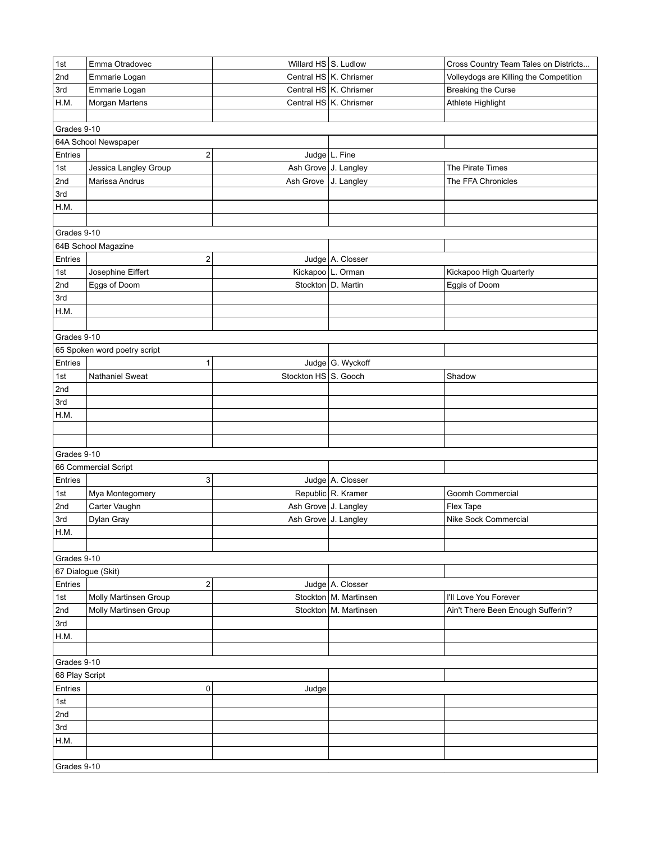| 1st                           | Emma Otradovec               | Willard $HS \, S$ . Ludlow |                          | Cross Country Team Tales on Districts  |
|-------------------------------|------------------------------|----------------------------|--------------------------|----------------------------------------|
| 2nd                           | Emmarie Logan                |                            | Central HS K. Chrismer   | Volleydogs are Killing the Competition |
| 3rd                           | Emmarie Logan                |                            | Central HS K. Chrismer   | <b>Breaking the Curse</b>              |
| H.M.                          | Morgan Martens               |                            | Central HS   K. Chrismer | Athlete Highlight                      |
|                               |                              |                            |                          |                                        |
| Grades 9-10                   |                              |                            |                          |                                        |
|                               | 64A School Newspaper         |                            |                          |                                        |
| Entries                       | $\overline{\mathbf{c}}$      |                            | Judge $L$ . Fine         |                                        |
| 1st                           | Jessica Langley Group        | Ash Grove J. Langley       |                          | The Pirate Times                       |
| 2nd                           | Marissa Andrus               | Ash Grove   J. Langley     |                          | The FFA Chronicles                     |
| 3rd                           |                              |                            |                          |                                        |
| H.M.                          |                              |                            |                          |                                        |
|                               |                              |                            |                          |                                        |
| Grades 9-10                   |                              |                            |                          |                                        |
|                               | 64B School Magazine          |                            |                          |                                        |
| Entries                       | 2                            |                            | Judge A. Closser         |                                        |
| 1st                           | Josephine Eiffert            |                            | Kickapoo   L. Orman      | Kickapoo High Quarterly                |
| 2nd                           | Eggs of Doom                 |                            | Stockton   D. Martin     | Eggis of Doom                          |
| 3rd                           |                              |                            |                          |                                        |
| H.M.                          |                              |                            |                          |                                        |
|                               |                              |                            |                          |                                        |
| Grades 9-10                   |                              |                            |                          |                                        |
|                               | 65 Spoken word poetry script |                            |                          |                                        |
| Entries                       | 1                            |                            | Judge G. Wyckoff         |                                        |
| 1st                           | <b>Nathaniel Sweat</b>       | Stockton HS S. Gooch       |                          | Shadow                                 |
| 2nd                           |                              |                            |                          |                                        |
| 3rd                           |                              |                            |                          |                                        |
| H.M.                          |                              |                            |                          |                                        |
|                               |                              |                            |                          |                                        |
|                               |                              |                            |                          |                                        |
| Grades 9-10                   |                              |                            |                          |                                        |
|                               | 66 Commercial Script         |                            |                          |                                        |
| Entries                       | 3                            |                            | Judge   A. Closser       |                                        |
| 1st                           | Mya Montegomery              |                            | Republic R. Kramer       | Goomh Commercial                       |
| 2nd                           | Carter Vaughn                | Ash Grove J. Langley       |                          | Flex Tape                              |
| 3rd                           | Dylan Gray                   | Ash Grove J. Langley       |                          | Nike Sock Commercial                   |
| H.M.                          |                              |                            |                          |                                        |
|                               |                              |                            |                          |                                        |
| Grades 9-10                   |                              |                            |                          |                                        |
|                               | 67 Dialogue (Skit)           |                            |                          |                                        |
| Entries                       | 2                            |                            | Judge A. Closser         |                                        |
| 1st                           | Molly Martinsen Group        |                            | Stockton   M. Martinsen  | I'll Love You Forever                  |
| 2nd                           | Molly Martinsen Group        |                            | Stockton   M. Martinsen  | Ain't There Been Enough Sufferin'?     |
| 3rd                           |                              |                            |                          |                                        |
| H.M.                          |                              |                            |                          |                                        |
|                               |                              |                            |                          |                                        |
|                               |                              |                            |                          |                                        |
| Grades 9-10<br>68 Play Script |                              |                            |                          |                                        |
| Entries                       |                              |                            |                          |                                        |
|                               | 0                            | Judge                      |                          |                                        |
| 1st                           |                              |                            |                          |                                        |
| 2nd                           |                              |                            |                          |                                        |
| 3rd                           |                              |                            |                          |                                        |
| H.M.                          |                              |                            |                          |                                        |
|                               |                              |                            |                          |                                        |
| Grades 9-10                   |                              |                            |                          |                                        |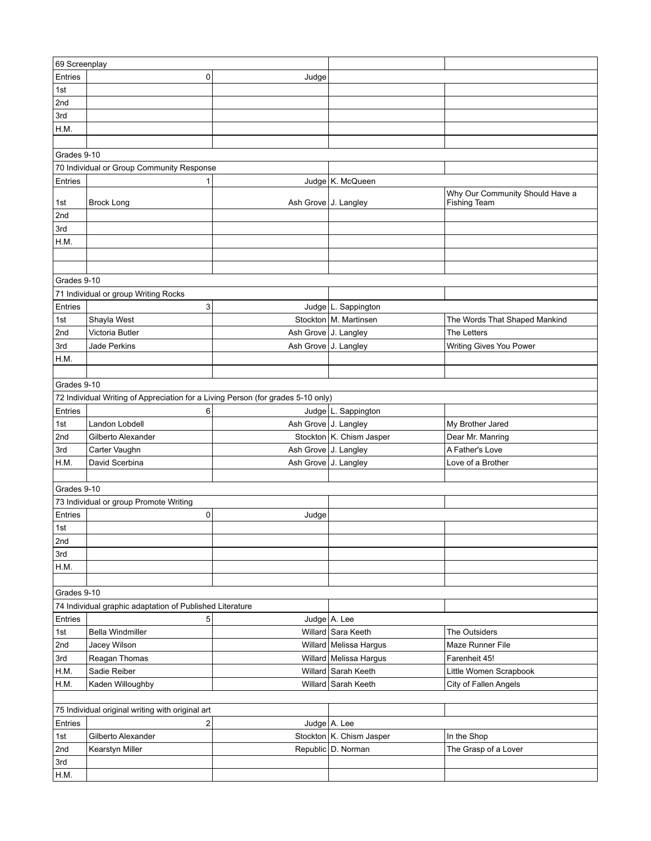| Entries<br>0<br>Judge<br>1st<br>2nd<br>3rd<br>H.M.<br>Grades 9-10<br>70 Individual or Group Community Response<br>Judge K. McQueen<br>Entries<br>1<br>Why Our Community Should Have a<br>Ash Grove   J. Langley<br><b>Fishing Team</b><br>1st<br><b>Brock Long</b><br>2nd<br>3rd<br>H.M.<br>Grades 9-10<br>71 Individual or group Writing Rocks<br>Entries<br>3<br>Judge   L. Sappington<br>Stockton   M. Martinsen<br>1st<br>Shayla West<br>The Words That Shaped Mankind<br>2nd<br>Victoria Butler<br>Ash Grove J. Langley<br>The Letters<br>3rd<br>Writing Gives You Power<br>Jade Perkins<br>Ash Grove J. Langley<br>H.M.<br>Grades 9-10<br>72 Individual Writing of Appreciation for a Living Person (for grades 5-10 only)<br>Entries<br>Judge   L. Sappington<br>6<br>1st<br>Landon Lobdell<br>Ash Grove J. Langley<br>My Brother Jared<br>2nd<br>Stockton K. Chism Jasper<br>Gilberto Alexander<br>Dear Mr. Manring<br>3rd<br>Carter Vaughn<br>Ash Grove J. Langley<br>A Father's Love<br>H.M.<br>David Scerbina<br>Ash Grove J. Langley<br>Love of a Brother<br>Grades 9-10<br>73 Individual or group Promote Writing<br>Entries<br>0<br>Judge<br>1st<br>2nd<br>3rd<br>H.M.<br>Grades 9-10<br>74 Individual graphic adaptation of Published Literature<br>Entries<br>5<br>Judge $A$ . Lee<br><b>Bella Windmiller</b><br>Willard Sara Keeth<br>The Outsiders<br>1st<br>2nd<br>Maze Runner File<br>Jacey Wilson<br>Willard   Melissa Hargus<br>3rd<br>Reagan Thomas<br>Willard   Melissa Hargus<br>Farenheit 45!<br>Willard Sarah Keeth<br>Little Women Scrapbook<br>H.M.<br>Sadie Reiber<br>H.M.<br>Kaden Willoughby<br>Willard Sarah Keeth<br>City of Fallen Angels<br>75 Individual original writing with original art<br>Entries<br>$\overline{2}$<br>Judge $A$ . Lee<br>1st<br>Gilberto Alexander<br>Stockton   K. Chism Jasper<br>In the Shop<br>2nd<br>Republic D. Norman<br>The Grasp of a Lover<br>Kearstyn Miller<br>3rd<br>H.M. | 69 Screenplay |  |  |  |  |  |  |  |
|---------------------------------------------------------------------------------------------------------------------------------------------------------------------------------------------------------------------------------------------------------------------------------------------------------------------------------------------------------------------------------------------------------------------------------------------------------------------------------------------------------------------------------------------------------------------------------------------------------------------------------------------------------------------------------------------------------------------------------------------------------------------------------------------------------------------------------------------------------------------------------------------------------------------------------------------------------------------------------------------------------------------------------------------------------------------------------------------------------------------------------------------------------------------------------------------------------------------------------------------------------------------------------------------------------------------------------------------------------------------------------------------------------------------------------------------------------------------------------------------------------------------------------------------------------------------------------------------------------------------------------------------------------------------------------------------------------------------------------------------------------------------------------------------------------------------------------------------------------------------------------------------------------------------------------------------------|---------------|--|--|--|--|--|--|--|
|                                                                                                                                                                                                                                                                                                                                                                                                                                                                                                                                                                                                                                                                                                                                                                                                                                                                                                                                                                                                                                                                                                                                                                                                                                                                                                                                                                                                                                                                                                                                                                                                                                                                                                                                                                                                                                                                                                                                                   |               |  |  |  |  |  |  |  |
|                                                                                                                                                                                                                                                                                                                                                                                                                                                                                                                                                                                                                                                                                                                                                                                                                                                                                                                                                                                                                                                                                                                                                                                                                                                                                                                                                                                                                                                                                                                                                                                                                                                                                                                                                                                                                                                                                                                                                   |               |  |  |  |  |  |  |  |
|                                                                                                                                                                                                                                                                                                                                                                                                                                                                                                                                                                                                                                                                                                                                                                                                                                                                                                                                                                                                                                                                                                                                                                                                                                                                                                                                                                                                                                                                                                                                                                                                                                                                                                                                                                                                                                                                                                                                                   |               |  |  |  |  |  |  |  |
|                                                                                                                                                                                                                                                                                                                                                                                                                                                                                                                                                                                                                                                                                                                                                                                                                                                                                                                                                                                                                                                                                                                                                                                                                                                                                                                                                                                                                                                                                                                                                                                                                                                                                                                                                                                                                                                                                                                                                   |               |  |  |  |  |  |  |  |
|                                                                                                                                                                                                                                                                                                                                                                                                                                                                                                                                                                                                                                                                                                                                                                                                                                                                                                                                                                                                                                                                                                                                                                                                                                                                                                                                                                                                                                                                                                                                                                                                                                                                                                                                                                                                                                                                                                                                                   |               |  |  |  |  |  |  |  |
|                                                                                                                                                                                                                                                                                                                                                                                                                                                                                                                                                                                                                                                                                                                                                                                                                                                                                                                                                                                                                                                                                                                                                                                                                                                                                                                                                                                                                                                                                                                                                                                                                                                                                                                                                                                                                                                                                                                                                   |               |  |  |  |  |  |  |  |
|                                                                                                                                                                                                                                                                                                                                                                                                                                                                                                                                                                                                                                                                                                                                                                                                                                                                                                                                                                                                                                                                                                                                                                                                                                                                                                                                                                                                                                                                                                                                                                                                                                                                                                                                                                                                                                                                                                                                                   |               |  |  |  |  |  |  |  |
|                                                                                                                                                                                                                                                                                                                                                                                                                                                                                                                                                                                                                                                                                                                                                                                                                                                                                                                                                                                                                                                                                                                                                                                                                                                                                                                                                                                                                                                                                                                                                                                                                                                                                                                                                                                                                                                                                                                                                   |               |  |  |  |  |  |  |  |
|                                                                                                                                                                                                                                                                                                                                                                                                                                                                                                                                                                                                                                                                                                                                                                                                                                                                                                                                                                                                                                                                                                                                                                                                                                                                                                                                                                                                                                                                                                                                                                                                                                                                                                                                                                                                                                                                                                                                                   |               |  |  |  |  |  |  |  |
|                                                                                                                                                                                                                                                                                                                                                                                                                                                                                                                                                                                                                                                                                                                                                                                                                                                                                                                                                                                                                                                                                                                                                                                                                                                                                                                                                                                                                                                                                                                                                                                                                                                                                                                                                                                                                                                                                                                                                   |               |  |  |  |  |  |  |  |
|                                                                                                                                                                                                                                                                                                                                                                                                                                                                                                                                                                                                                                                                                                                                                                                                                                                                                                                                                                                                                                                                                                                                                                                                                                                                                                                                                                                                                                                                                                                                                                                                                                                                                                                                                                                                                                                                                                                                                   |               |  |  |  |  |  |  |  |
|                                                                                                                                                                                                                                                                                                                                                                                                                                                                                                                                                                                                                                                                                                                                                                                                                                                                                                                                                                                                                                                                                                                                                                                                                                                                                                                                                                                                                                                                                                                                                                                                                                                                                                                                                                                                                                                                                                                                                   |               |  |  |  |  |  |  |  |
|                                                                                                                                                                                                                                                                                                                                                                                                                                                                                                                                                                                                                                                                                                                                                                                                                                                                                                                                                                                                                                                                                                                                                                                                                                                                                                                                                                                                                                                                                                                                                                                                                                                                                                                                                                                                                                                                                                                                                   |               |  |  |  |  |  |  |  |
|                                                                                                                                                                                                                                                                                                                                                                                                                                                                                                                                                                                                                                                                                                                                                                                                                                                                                                                                                                                                                                                                                                                                                                                                                                                                                                                                                                                                                                                                                                                                                                                                                                                                                                                                                                                                                                                                                                                                                   |               |  |  |  |  |  |  |  |
|                                                                                                                                                                                                                                                                                                                                                                                                                                                                                                                                                                                                                                                                                                                                                                                                                                                                                                                                                                                                                                                                                                                                                                                                                                                                                                                                                                                                                                                                                                                                                                                                                                                                                                                                                                                                                                                                                                                                                   |               |  |  |  |  |  |  |  |
|                                                                                                                                                                                                                                                                                                                                                                                                                                                                                                                                                                                                                                                                                                                                                                                                                                                                                                                                                                                                                                                                                                                                                                                                                                                                                                                                                                                                                                                                                                                                                                                                                                                                                                                                                                                                                                                                                                                                                   |               |  |  |  |  |  |  |  |
|                                                                                                                                                                                                                                                                                                                                                                                                                                                                                                                                                                                                                                                                                                                                                                                                                                                                                                                                                                                                                                                                                                                                                                                                                                                                                                                                                                                                                                                                                                                                                                                                                                                                                                                                                                                                                                                                                                                                                   |               |  |  |  |  |  |  |  |
|                                                                                                                                                                                                                                                                                                                                                                                                                                                                                                                                                                                                                                                                                                                                                                                                                                                                                                                                                                                                                                                                                                                                                                                                                                                                                                                                                                                                                                                                                                                                                                                                                                                                                                                                                                                                                                                                                                                                                   |               |  |  |  |  |  |  |  |
|                                                                                                                                                                                                                                                                                                                                                                                                                                                                                                                                                                                                                                                                                                                                                                                                                                                                                                                                                                                                                                                                                                                                                                                                                                                                                                                                                                                                                                                                                                                                                                                                                                                                                                                                                                                                                                                                                                                                                   |               |  |  |  |  |  |  |  |
|                                                                                                                                                                                                                                                                                                                                                                                                                                                                                                                                                                                                                                                                                                                                                                                                                                                                                                                                                                                                                                                                                                                                                                                                                                                                                                                                                                                                                                                                                                                                                                                                                                                                                                                                                                                                                                                                                                                                                   |               |  |  |  |  |  |  |  |
|                                                                                                                                                                                                                                                                                                                                                                                                                                                                                                                                                                                                                                                                                                                                                                                                                                                                                                                                                                                                                                                                                                                                                                                                                                                                                                                                                                                                                                                                                                                                                                                                                                                                                                                                                                                                                                                                                                                                                   |               |  |  |  |  |  |  |  |
|                                                                                                                                                                                                                                                                                                                                                                                                                                                                                                                                                                                                                                                                                                                                                                                                                                                                                                                                                                                                                                                                                                                                                                                                                                                                                                                                                                                                                                                                                                                                                                                                                                                                                                                                                                                                                                                                                                                                                   |               |  |  |  |  |  |  |  |
|                                                                                                                                                                                                                                                                                                                                                                                                                                                                                                                                                                                                                                                                                                                                                                                                                                                                                                                                                                                                                                                                                                                                                                                                                                                                                                                                                                                                                                                                                                                                                                                                                                                                                                                                                                                                                                                                                                                                                   |               |  |  |  |  |  |  |  |
|                                                                                                                                                                                                                                                                                                                                                                                                                                                                                                                                                                                                                                                                                                                                                                                                                                                                                                                                                                                                                                                                                                                                                                                                                                                                                                                                                                                                                                                                                                                                                                                                                                                                                                                                                                                                                                                                                                                                                   |               |  |  |  |  |  |  |  |
|                                                                                                                                                                                                                                                                                                                                                                                                                                                                                                                                                                                                                                                                                                                                                                                                                                                                                                                                                                                                                                                                                                                                                                                                                                                                                                                                                                                                                                                                                                                                                                                                                                                                                                                                                                                                                                                                                                                                                   |               |  |  |  |  |  |  |  |
|                                                                                                                                                                                                                                                                                                                                                                                                                                                                                                                                                                                                                                                                                                                                                                                                                                                                                                                                                                                                                                                                                                                                                                                                                                                                                                                                                                                                                                                                                                                                                                                                                                                                                                                                                                                                                                                                                                                                                   |               |  |  |  |  |  |  |  |
|                                                                                                                                                                                                                                                                                                                                                                                                                                                                                                                                                                                                                                                                                                                                                                                                                                                                                                                                                                                                                                                                                                                                                                                                                                                                                                                                                                                                                                                                                                                                                                                                                                                                                                                                                                                                                                                                                                                                                   |               |  |  |  |  |  |  |  |
|                                                                                                                                                                                                                                                                                                                                                                                                                                                                                                                                                                                                                                                                                                                                                                                                                                                                                                                                                                                                                                                                                                                                                                                                                                                                                                                                                                                                                                                                                                                                                                                                                                                                                                                                                                                                                                                                                                                                                   |               |  |  |  |  |  |  |  |
|                                                                                                                                                                                                                                                                                                                                                                                                                                                                                                                                                                                                                                                                                                                                                                                                                                                                                                                                                                                                                                                                                                                                                                                                                                                                                                                                                                                                                                                                                                                                                                                                                                                                                                                                                                                                                                                                                                                                                   |               |  |  |  |  |  |  |  |
|                                                                                                                                                                                                                                                                                                                                                                                                                                                                                                                                                                                                                                                                                                                                                                                                                                                                                                                                                                                                                                                                                                                                                                                                                                                                                                                                                                                                                                                                                                                                                                                                                                                                                                                                                                                                                                                                                                                                                   |               |  |  |  |  |  |  |  |
|                                                                                                                                                                                                                                                                                                                                                                                                                                                                                                                                                                                                                                                                                                                                                                                                                                                                                                                                                                                                                                                                                                                                                                                                                                                                                                                                                                                                                                                                                                                                                                                                                                                                                                                                                                                                                                                                                                                                                   |               |  |  |  |  |  |  |  |
|                                                                                                                                                                                                                                                                                                                                                                                                                                                                                                                                                                                                                                                                                                                                                                                                                                                                                                                                                                                                                                                                                                                                                                                                                                                                                                                                                                                                                                                                                                                                                                                                                                                                                                                                                                                                                                                                                                                                                   |               |  |  |  |  |  |  |  |
|                                                                                                                                                                                                                                                                                                                                                                                                                                                                                                                                                                                                                                                                                                                                                                                                                                                                                                                                                                                                                                                                                                                                                                                                                                                                                                                                                                                                                                                                                                                                                                                                                                                                                                                                                                                                                                                                                                                                                   |               |  |  |  |  |  |  |  |
|                                                                                                                                                                                                                                                                                                                                                                                                                                                                                                                                                                                                                                                                                                                                                                                                                                                                                                                                                                                                                                                                                                                                                                                                                                                                                                                                                                                                                                                                                                                                                                                                                                                                                                                                                                                                                                                                                                                                                   |               |  |  |  |  |  |  |  |
|                                                                                                                                                                                                                                                                                                                                                                                                                                                                                                                                                                                                                                                                                                                                                                                                                                                                                                                                                                                                                                                                                                                                                                                                                                                                                                                                                                                                                                                                                                                                                                                                                                                                                                                                                                                                                                                                                                                                                   |               |  |  |  |  |  |  |  |
|                                                                                                                                                                                                                                                                                                                                                                                                                                                                                                                                                                                                                                                                                                                                                                                                                                                                                                                                                                                                                                                                                                                                                                                                                                                                                                                                                                                                                                                                                                                                                                                                                                                                                                                                                                                                                                                                                                                                                   |               |  |  |  |  |  |  |  |
|                                                                                                                                                                                                                                                                                                                                                                                                                                                                                                                                                                                                                                                                                                                                                                                                                                                                                                                                                                                                                                                                                                                                                                                                                                                                                                                                                                                                                                                                                                                                                                                                                                                                                                                                                                                                                                                                                                                                                   |               |  |  |  |  |  |  |  |
|                                                                                                                                                                                                                                                                                                                                                                                                                                                                                                                                                                                                                                                                                                                                                                                                                                                                                                                                                                                                                                                                                                                                                                                                                                                                                                                                                                                                                                                                                                                                                                                                                                                                                                                                                                                                                                                                                                                                                   |               |  |  |  |  |  |  |  |
|                                                                                                                                                                                                                                                                                                                                                                                                                                                                                                                                                                                                                                                                                                                                                                                                                                                                                                                                                                                                                                                                                                                                                                                                                                                                                                                                                                                                                                                                                                                                                                                                                                                                                                                                                                                                                                                                                                                                                   |               |  |  |  |  |  |  |  |
|                                                                                                                                                                                                                                                                                                                                                                                                                                                                                                                                                                                                                                                                                                                                                                                                                                                                                                                                                                                                                                                                                                                                                                                                                                                                                                                                                                                                                                                                                                                                                                                                                                                                                                                                                                                                                                                                                                                                                   |               |  |  |  |  |  |  |  |
|                                                                                                                                                                                                                                                                                                                                                                                                                                                                                                                                                                                                                                                                                                                                                                                                                                                                                                                                                                                                                                                                                                                                                                                                                                                                                                                                                                                                                                                                                                                                                                                                                                                                                                                                                                                                                                                                                                                                                   |               |  |  |  |  |  |  |  |
|                                                                                                                                                                                                                                                                                                                                                                                                                                                                                                                                                                                                                                                                                                                                                                                                                                                                                                                                                                                                                                                                                                                                                                                                                                                                                                                                                                                                                                                                                                                                                                                                                                                                                                                                                                                                                                                                                                                                                   |               |  |  |  |  |  |  |  |
|                                                                                                                                                                                                                                                                                                                                                                                                                                                                                                                                                                                                                                                                                                                                                                                                                                                                                                                                                                                                                                                                                                                                                                                                                                                                                                                                                                                                                                                                                                                                                                                                                                                                                                                                                                                                                                                                                                                                                   |               |  |  |  |  |  |  |  |
|                                                                                                                                                                                                                                                                                                                                                                                                                                                                                                                                                                                                                                                                                                                                                                                                                                                                                                                                                                                                                                                                                                                                                                                                                                                                                                                                                                                                                                                                                                                                                                                                                                                                                                                                                                                                                                                                                                                                                   |               |  |  |  |  |  |  |  |
|                                                                                                                                                                                                                                                                                                                                                                                                                                                                                                                                                                                                                                                                                                                                                                                                                                                                                                                                                                                                                                                                                                                                                                                                                                                                                                                                                                                                                                                                                                                                                                                                                                                                                                                                                                                                                                                                                                                                                   |               |  |  |  |  |  |  |  |
|                                                                                                                                                                                                                                                                                                                                                                                                                                                                                                                                                                                                                                                                                                                                                                                                                                                                                                                                                                                                                                                                                                                                                                                                                                                                                                                                                                                                                                                                                                                                                                                                                                                                                                                                                                                                                                                                                                                                                   |               |  |  |  |  |  |  |  |
|                                                                                                                                                                                                                                                                                                                                                                                                                                                                                                                                                                                                                                                                                                                                                                                                                                                                                                                                                                                                                                                                                                                                                                                                                                                                                                                                                                                                                                                                                                                                                                                                                                                                                                                                                                                                                                                                                                                                                   |               |  |  |  |  |  |  |  |
|                                                                                                                                                                                                                                                                                                                                                                                                                                                                                                                                                                                                                                                                                                                                                                                                                                                                                                                                                                                                                                                                                                                                                                                                                                                                                                                                                                                                                                                                                                                                                                                                                                                                                                                                                                                                                                                                                                                                                   |               |  |  |  |  |  |  |  |
|                                                                                                                                                                                                                                                                                                                                                                                                                                                                                                                                                                                                                                                                                                                                                                                                                                                                                                                                                                                                                                                                                                                                                                                                                                                                                                                                                                                                                                                                                                                                                                                                                                                                                                                                                                                                                                                                                                                                                   |               |  |  |  |  |  |  |  |
|                                                                                                                                                                                                                                                                                                                                                                                                                                                                                                                                                                                                                                                                                                                                                                                                                                                                                                                                                                                                                                                                                                                                                                                                                                                                                                                                                                                                                                                                                                                                                                                                                                                                                                                                                                                                                                                                                                                                                   |               |  |  |  |  |  |  |  |
|                                                                                                                                                                                                                                                                                                                                                                                                                                                                                                                                                                                                                                                                                                                                                                                                                                                                                                                                                                                                                                                                                                                                                                                                                                                                                                                                                                                                                                                                                                                                                                                                                                                                                                                                                                                                                                                                                                                                                   |               |  |  |  |  |  |  |  |
|                                                                                                                                                                                                                                                                                                                                                                                                                                                                                                                                                                                                                                                                                                                                                                                                                                                                                                                                                                                                                                                                                                                                                                                                                                                                                                                                                                                                                                                                                                                                                                                                                                                                                                                                                                                                                                                                                                                                                   |               |  |  |  |  |  |  |  |
|                                                                                                                                                                                                                                                                                                                                                                                                                                                                                                                                                                                                                                                                                                                                                                                                                                                                                                                                                                                                                                                                                                                                                                                                                                                                                                                                                                                                                                                                                                                                                                                                                                                                                                                                                                                                                                                                                                                                                   |               |  |  |  |  |  |  |  |
|                                                                                                                                                                                                                                                                                                                                                                                                                                                                                                                                                                                                                                                                                                                                                                                                                                                                                                                                                                                                                                                                                                                                                                                                                                                                                                                                                                                                                                                                                                                                                                                                                                                                                                                                                                                                                                                                                                                                                   |               |  |  |  |  |  |  |  |
|                                                                                                                                                                                                                                                                                                                                                                                                                                                                                                                                                                                                                                                                                                                                                                                                                                                                                                                                                                                                                                                                                                                                                                                                                                                                                                                                                                                                                                                                                                                                                                                                                                                                                                                                                                                                                                                                                                                                                   |               |  |  |  |  |  |  |  |